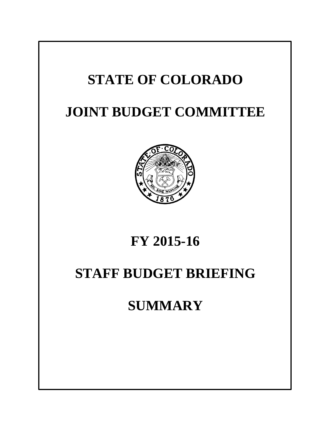# **STATE OF COLORADO JOINT BUDGET COMMITTEE FY 2015-16 STAFF BUDGET BRIEFING SUMMARY**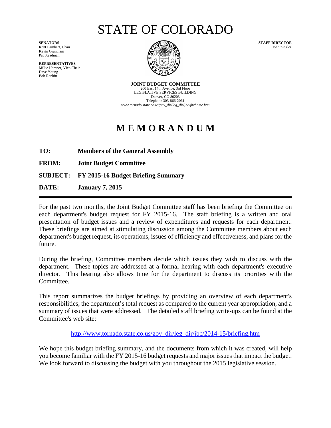# STATE OF COLORADO

Kent Lambert, Chair Kevin Grantham Pat Steadman

**REPRESENTATIVES** Millie Hamner, Vice-Chair Dave Young Bob Rankin



**JOINT BUDGET COMMITTEE** 200 East 14th Avenue, 3rd Floor LEGISLATIVE SERVICES BUILDING Denver, CO 80203 Telephone 303-866-2061 *www.tornado.state.co.us/gov\_dir/leg\_dir/jbc/jbchome.htm*

# **M E M O R A N D U M**

**TO: Members of the General Assembly**

**FROM: Joint Budget Committee**

**SUBJECT: FY 2015-16 Budget Briefing Summary**

**DATE: January 7, 2015**

For the past two months, the Joint Budget Committee staff has been briefing the Committee on each department's budget request for FY 2015-16. The staff briefing is a written and oral presentation of budget issues and a review of expenditures and requests for each department. These briefings are aimed at stimulating discussion among the Committee members about each department's budget request, its operations, issues of efficiency and effectiveness, and plans for the future.

During the briefing, Committee members decide which issues they wish to discuss with the department. These topics are addressed at a formal hearing with each department's executive director. This hearing also allows time for the department to discuss its priorities with the Committee.

This report summarizes the budget briefings by providing an overview of each department's responsibilities, the department's total request as compared to the current year appropriation, and a summary of issues that were addressed. The detailed staff briefing write-ups can be found at the Committee's web site:

http://www.tornado.state.co.us/gov\_dir/leg\_dir/jbc/2014-15/briefing.htm

We hope this budget briefing summary, and the documents from which it was created, will help you become familiar with the FY 2015-16 budget requests and major issues that impact the budget. We look forward to discussing the budget with you throughout the 2015 legislative session.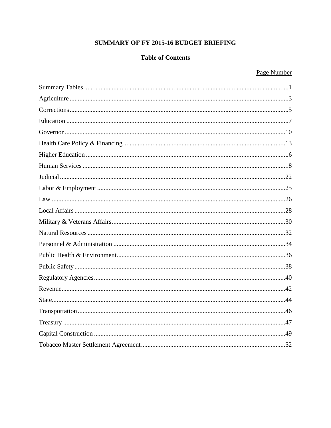### SUMMARY OF FY 2015-16 BUDGET BRIEFING

### **Table of Contents**

### Page Number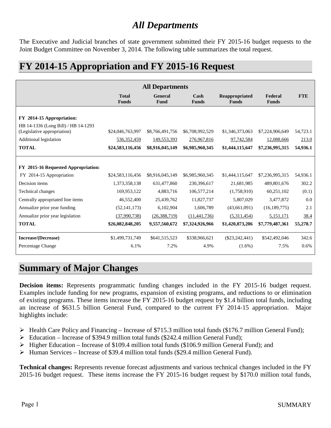### *All Departments*

The Executive and Judicial branches of state government submitted their FY 2015-16 budget requests to the Joint Budget Committee on November 3, 2014. The following table summarizes the total request.

### **FY 2014-15 Appropriation and FY 2015-16 Request**

| <b>All Departments</b>                                                                                                                    |                                                       |                                                   |                                                   |                                                  |                                                  |                               |
|-------------------------------------------------------------------------------------------------------------------------------------------|-------------------------------------------------------|---------------------------------------------------|---------------------------------------------------|--------------------------------------------------|--------------------------------------------------|-------------------------------|
|                                                                                                                                           | <b>Total</b><br><b>Funds</b>                          | General<br>Fund                                   | Cash<br><b>Funds</b>                              | Reappropriated<br><b>Funds</b>                   | Federal<br><b>Funds</b>                          | <b>FTE</b>                    |
| FY 2014-15 Appropriation:<br>HB 14-1336 (Long Bill) / HB 14-1293<br>(Legislative appropriation)<br>Additional legislation<br><b>TOTAL</b> | \$24,046,763,997<br>536, 352, 459<br>\$24,583,116,456 | \$8,766,491,756<br>149,553,393<br>\$8,916,045,149 | \$6,708,992,529<br>276,967,816<br>\$6,985,960,345 | \$1,346,373,063<br>97,742,584<br>\$1,444,115,647 | \$7,224,906,649<br>12,088,666<br>\$7,236,995,315 | 54,723.1<br>213.0<br>54,936.1 |
| FY 2015-16 Requested Appropriation:                                                                                                       |                                                       |                                                   |                                                   |                                                  |                                                  |                               |
| FY 2014-15 Appropriation                                                                                                                  | \$24,583,116,456                                      | \$8,916,045,149                                   | \$6,985,960,345                                   | \$1,444,115,647                                  | \$7,236,995,315                                  | 54,936.1                      |
| Decision items                                                                                                                            | 1,373,358,138                                         | 631,477,860                                       | 230,396,617                                       | 21,681,985                                       | 489,801,676                                      | 302.2                         |
| <b>Technical changes</b>                                                                                                                  | 169,953,122                                           | 4,883,716                                         | 106,577,214                                       | (1,758,910)                                      | 60,251,102                                       | (0.1)                         |
| Centrally appropriated line items                                                                                                         | 46,552,400                                            | 25,439,762                                        | 11,827,737                                        | 5,807,029                                        | 3,477,872                                        | 0.0                           |
| Annualize prior year funding                                                                                                              | (52, 141, 173)                                        | 6,102,904                                         | 1,606,789                                         | (43,661,091)                                     | (16, 189, 775)                                   | 2.1                           |
| Annualize prior year legislation                                                                                                          | (37,990,738)                                          | (26, 388, 719)                                    | (11, 441, 736)                                    | (5,311,454)                                      | 5,151,171                                        | 38.4                          |
| <b>TOTAL</b>                                                                                                                              | \$26,082,848,205                                      | 9,557,560,672                                     | \$7,324,926,966                                   | \$1,420,873,206                                  | \$7,779,487,361                                  | 55,278.7                      |
| Increase/(Decrease)                                                                                                                       | \$1,499,731,749                                       | \$641,515,523                                     | \$338,966,621                                     | $(\$23,242,441)$                                 | \$542,492,046                                    | 342.6                         |
| Percentage Change                                                                                                                         | 6.1%                                                  | 7.2%                                              | 4.9%                                              | $(1.6\%)$                                        | 7.5%                                             | 0.6%                          |

### **Summary of Major Changes**

**Decision items:** Represents programmatic funding changes included in the FY 2015-16 budget request. Examples include funding for new programs, expansion of existing programs, and reductions to or elimination of existing programs. These items increase the FY 2015-16 budget request by \$1.4 billion total funds, including an increase of \$631.5 billion General Fund, compared to the current FY 2014-15 appropriation. Major highlights include:

- $\triangleright$  Health Care Policy and Financing Increase of \$715.3 million total funds (\$176.7 million General Fund);
- $\triangleright$  Education Increase of \$394.9 million total funds (\$242.4 million General Fund);
- $\triangleright$  Higher Education Increase of \$109.4 million total funds (\$106.9 million General Fund); and
- $\blacktriangleright$  Human Services Increase of \$39.4 million total funds (\$29.4 million General Fund).

**Technical changes:** Represents revenue forecast adjustments and various technical changes included in the FY 2015-16 budget request. These items increase the FY 2015-16 budget request by \$170.0 million total funds,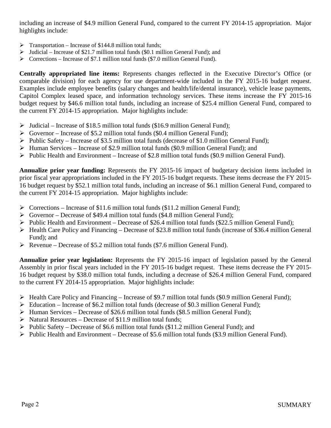including an increase of \$4.9 million General Fund, compared to the current FY 2014-15 appropriation. Major highlights include:

- $\triangleright$  Transportation Increase of \$144.8 million total funds;
- $\triangleright$  Judicial Increase of \$21.7 million total funds (\$0.1 million General Fund); and
- $\triangleright$  Corrections Increase of \$7.1 million total funds (\$7.0 million General Fund).

**Centrally appropriated line items:** Represents changes reflected in the Executive Director's Office (or comparable division) for each agency for use department-wide included in the FY 2015-16 budget request. Examples include employee benefits (salary changes and health/life/dental insurance), vehicle lease payments, Capitol Complex leased space, and information technology services. These items increase the FY 2015-16 budget request by \$46.6 million total funds, including an increase of \$25.4 million General Fund, compared to the current FY 2014-15 appropriation. Major highlights include:

- $\triangleright$  Judicial Increase of \$18.5 million total funds (\$16.9 million General Fund);
- $\triangleright$  Governor Increase of \$5.2 million total funds (\$0.4 million General Fund);
- $\triangleright$  Public Safety Increase of \$3.5 million total funds (decrease of \$1.0 million General Fund);
- $\triangleright$  Human Services Increase of \$2.9 million total funds (\$0.9 million General Fund); and
- $\triangleright$  Public Health and Environment Increase of \$2.8 million total funds (\$0.9 million General Fund).

**Annualize prior year funding:** Represents the FY 2015-16 impact of budgetary decision items included in prior fiscal year appropriations included in the FY 2015-16 budget requests. These items decrease the FY 2015- 16 budget request by \$52.1 million total funds, including an increase of \$6.1 million General Fund, compared to the current FY 2014-15 appropriation. Major highlights include:

- $\triangleright$  Corrections Increase of \$11.6 million total funds (\$11.2 million General Fund);
- $\triangleright$  Governor Decrease of \$49.4 million total funds (\$4.8 million General Fund);
- Public Health and Environment Decrease of \$26.4 million total funds (\$22.5 million General Fund);
- $\triangleright$  Health Care Policy and Financing Decrease of \$23.8 million total funds (increase of \$36.4 million General Fund); and
- Revenue Decrease of \$5.2 million total funds (\$7.6 million General Fund).

**Annualize prior year legislation:** Represents the FY 2015-16 impact of legislation passed by the General Assembly in prior fiscal years included in the FY 2015-16 budget request. These items decrease the FY 2015- 16 budget request by \$38.0 million total funds, including a decrease of \$26.4 million General Fund, compared to the current FY 2014-15 appropriation. Major highlights include:

- $\triangleright$  Health Care Policy and Financing Increase of \$9.7 million total funds (\$0.9 million General Fund);
- $\triangleright$  Education Increase of \$6.2 million total funds (decrease of \$0.3 million General Fund);
- Human Services Decrease of \$26.6 million total funds (\$8.5 million General Fund);
- $\triangleright$  Natural Resources Decrease of \$11.9 million total funds;
- Public Safety Decrease of \$6.6 million total funds (\$11.2 million General Fund); and
- $\triangleright$  Public Health and Environment Decrease of \$5.6 million total funds (\$3.9 million General Fund).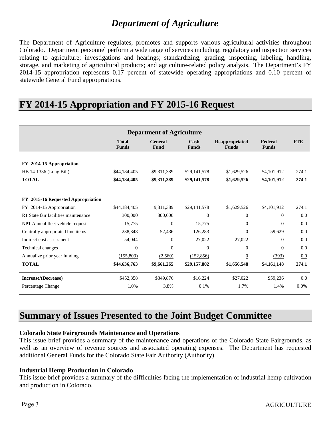### *Department of Agriculture*

The Department of Agriculture regulates, promotes and supports various agricultural activities throughout Colorado. Department personnel perform a wide range of services including: regulatory and inspection services relating to agriculture; investigations and hearings; standardizing, grading, inspecting, labeling, handling, storage, and marketing of agricultural products; and agriculture-related policy analysis. The Department's FY 2014-15 appropriation represents 0.17 percent of statewide operating appropriations and 0.10 percent of statewide General Fund appropriations.

### **FY 2014-15 Appropriation and FY 2015-16 Request**

| <b>Department of Agriculture</b>     |                              |                               |                      |                                |                         |            |
|--------------------------------------|------------------------------|-------------------------------|----------------------|--------------------------------|-------------------------|------------|
|                                      | <b>Total</b><br><b>Funds</b> | <b>General</b><br><b>Fund</b> | Cash<br><b>Funds</b> | Reappropriated<br><b>Funds</b> | Federal<br><b>Funds</b> | <b>FTE</b> |
| FY 2014-15 Appropriation             |                              |                               |                      |                                |                         |            |
| HB 14-1336 (Long Bill)               | \$44,184,405                 | \$9,311,389                   | \$29,141,578         | \$1,629,526                    | \$4,101,912             | 274.1      |
| <b>TOTAL</b>                         | \$44,184,405                 | \$9,311,389                   | \$29,141,578         | \$1,629,526                    | \$4,101,912             | 274.1      |
|                                      |                              |                               |                      |                                |                         |            |
| FY 2015-16 Requested Appropriation   |                              |                               |                      |                                |                         |            |
| 2014-15 Appropriation<br>FY          | \$44,184,405                 | 9,311,389                     | \$29,141,578         | \$1,629,526                    | \$4,101,912             | 274.1      |
| R1 State fair facilities maintenance | 300,000                      | 300,000                       | $\theta$             | $\Omega$                       | $\Omega$                | 0.0        |
| NP1 Annual fleet vehicle request     | 15,775                       | $\mathbf{0}$                  | 15,775               | $\mathbf{0}$                   | $\mathbf{0}$            | 0.0        |
| Centrally appropriated line items    | 238,348                      | 52,436                        | 126,283              | $\Omega$                       | 59,629                  | 0.0        |
| Indirect cost assessment             | 54,044                       | $\Omega$                      | 27,022               | 27,022                         | $\Omega$                | 0.0        |
| <b>Technical changes</b>             | $\mathbf{0}$                 | $\Omega$                      | $\overline{0}$       | $\mathbf{0}$                   | $\Omega$                | 0.0        |
| Annualize prior year funding         | (155,809)                    | (2,560)                       | (152, 856)           | $\overline{0}$                 | (393)                   | 0.0        |
| <b>TOTAL</b>                         | \$44,636,763                 | \$9,661,265                   | \$29,157,802         | \$1,656,548                    | \$4,161,148             | 274.1      |
| Increase/(Decrease)                  | \$452,358                    | \$349,876                     | \$16,224             | \$27,022                       | \$59,236                | 0.0        |
| Percentage Change                    | 1.0%                         | 3.8%                          | 0.1%                 | 1.7%                           | 1.4%                    | 0.0%       |

### **Summary of Issues Presented to the Joint Budget Committee**

### **Colorado State Fairgrounds Maintenance and Operations**

This issue brief provides a summary of the maintenance and operations of the Colorado State Fairgrounds, as well as an overview of revenue sources and associated operating expenses. The Department has requested additional General Funds for the Colorado State Fair Authority (Authority).

### **Industrial Hemp Production in Colorado**

This issue brief provides a summary of the difficulties facing the implementation of industrial hemp cultivation and production in Colorado.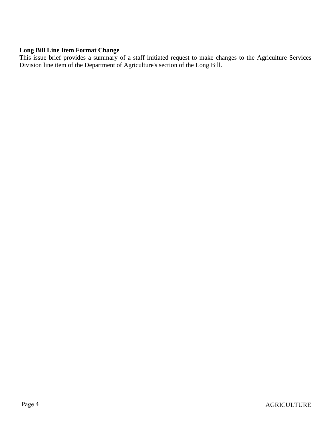### **Long Bill Line Item Format Change**

This issue brief provides a summary of a staff initiated request to make changes to the Agriculture Services Division line item of the Department of Agriculture's section of the Long Bill.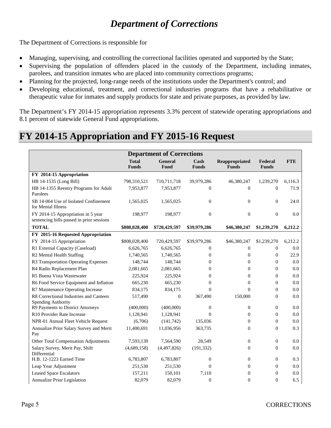# *Department of Corrections*

The Department of Corrections is responsible for

- Managing, supervising, and controlling the correctional facilities operated and supported by the State;
- Supervising the population of offenders placed in the custody of the Department, including inmates, parolees, and transition inmates who are placed into community corrections programs;
- Planning for the projected, long-range needs of the institutions under the Department's control; and
- Developing educational, treatment, and correctional industries programs that have a rehabilitative or therapeutic value for inmates and supply products for state and private purposes, as provided by law.

The Department's FY 2014-15 appropriation represents 3.3% percent of statewide operating appropriations and 8.1 percent of statewide General Fund appropriations.

### **FY 2014-15 Appropriation and FY 2015-16 Request**

| <b>Department of Corrections</b>                                                |                              |                        |                      |                                |                         |            |  |
|---------------------------------------------------------------------------------|------------------------------|------------------------|----------------------|--------------------------------|-------------------------|------------|--|
|                                                                                 | <b>Total</b><br><b>Funds</b> | <b>General</b><br>Fund | Cash<br><b>Funds</b> | Reappropriated<br><b>Funds</b> | Federal<br><b>Funds</b> | <b>FTE</b> |  |
| FY 2014-15 Appropriation                                                        |                              |                        |                      |                                |                         |            |  |
| HB 14-1535 (Long Bill)                                                          | 798,310,521                  | 710,711,718            | 39,979,286           | 46,380,247                     | 1,239,270               | 6,116.3    |  |
| HB 14-1355 Reentry Programs for Adult<br>Parolees                               | 7,953,877                    | 7,953,877              | $\mathbf{0}$         | $\overline{0}$                 | $\mathbf{0}$            | 71.9       |  |
| SB 14-064 Use of Isolated Confinement<br>for Mental Illness                     | 1,565,025                    | 1,565,025              | $\theta$             | $\overline{0}$                 | $\mathbf{0}$            | 24.0       |  |
| FY 2014-15 Appropriation in 5 year<br>sentencing bills passed in prior sessions | 198,977                      | 198,977                | $\theta$             | $\mathbf{0}$                   | $\mathbf{0}$            | 0.0        |  |
| <b>TOTAL</b>                                                                    | \$808,028,400                | \$720,429,597          | \$39,979,286         | \$46,380,247                   | \$1,239,270             | 6,212.2    |  |
| FY 2015-16 Requested Appropriation                                              |                              |                        |                      |                                |                         |            |  |
| FY 2014-15 Appropriation                                                        | \$808,028,400                | 720,429,597            | \$39,979,286         | \$46,380,247                   | \$1,239,270             | 6,212.2    |  |
| R1 External Capacity (Caseload)                                                 | 6,626,765                    | 6,626,765              | $\boldsymbol{0}$     | $\boldsymbol{0}$               | $\mathbf{0}$            | 0.0        |  |
| R2 Mental Health Staffing                                                       | 1,740,565                    | 1,740,565              | $\boldsymbol{0}$     | $\boldsymbol{0}$               | $\mathbf{0}$            | 22.9       |  |
| R3 Transportation Operating Expenses                                            | 148,744                      | 148,744                | $\Omega$             | $\overline{0}$                 | $\Omega$                | 0.0        |  |
| R4 Radio Replacement Plan                                                       | 2,081,665                    | 2,081,665              | $\Omega$             | $\overline{0}$                 | $\Omega$                | 0.0        |  |
| R5 Buena Vista Wastewater                                                       | 225,924                      | 225,924                | $\overline{0}$       | $\overline{0}$                 | $\theta$                | 0.0        |  |
| R6 Food Service Equipment and Inflation                                         | 665,230                      | 665,230                | $\overline{0}$       | $\boldsymbol{0}$               | $\boldsymbol{0}$        | 0.0        |  |
| R7 Maintenance Operating Increase                                               | 834,175                      | 834,175                | $\theta$             | $\theta$                       | $\overline{0}$          | 0.0        |  |
| R8 Correctional Industries and Canteen<br>Spending Authority                    | 517,490                      | $\mathbf{0}$           | 367,490              | 150,000                        | $\mathbf{0}$            | 0.0        |  |
| R9 Payments to District Attorneys                                               | (400,000)                    | (400,000)              | $\mathbf{0}$         | $\boldsymbol{0}$               | $\mathbf{0}$            | 0.0        |  |
| R10 Provider Rate Increase                                                      | 1,128,941                    | 1,128,941              | $\Omega$             | $\overline{0}$                 | $\mathbf{0}$            | 0.0        |  |
| NPR-01 Annual Fleet Vehicle Request                                             | (6,706)                      | (141,742)              | 135,036              | $\Omega$                       | $\Omega$                | 0.0        |  |
| Annualize Prior Salary Survey and Merit<br>Pay                                  | 11,400,691                   | 11,036,956             | 363,735              | $\overline{0}$                 | $\mathbf{0}$            | 0.3        |  |
| Other Total Compensation Adjustments                                            | 7,593,139                    | 7,564,590              | 28,549               | $\boldsymbol{0}$               | $\boldsymbol{0}$        | 0.0        |  |
| Salary Survey, Merit Pay, Shift<br>Differential                                 | (4,689,158)                  | (4,497,826)            | (191, 332)           | $\boldsymbol{0}$               | $\mathbf{0}$            | 0.0        |  |
| H.B. 12-1223 Earned Time                                                        | 6,783,807                    | 6,783,807              | $\overline{0}$       | $\overline{0}$                 | $\mathbf{0}$            | 0.3        |  |
| Leap Year Adjustment                                                            | 251,530                      | 251,530                | $\Omega$             | $\overline{0}$                 | $\mathbf{0}$            | 0.0        |  |
| <b>Leased Space Escalators</b>                                                  | 157,211                      | 150,101                | 7,110                | $\overline{0}$                 | $\overline{0}$          | 0.0        |  |
| Annualize Prior Legislation                                                     | 82,079                       | 82,079                 | $\overline{0}$       | $\overline{0}$                 | $\overline{0}$          | 6.5        |  |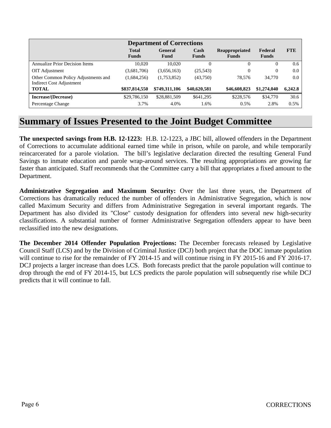| <b>Department of Corrections</b>                                |                              |                        |                      |                                       |                         |            |  |
|-----------------------------------------------------------------|------------------------------|------------------------|----------------------|---------------------------------------|-------------------------|------------|--|
|                                                                 | <b>Total</b><br><b>Funds</b> | <b>General</b><br>Fund | Cash<br><b>Funds</b> | <b>Reappropriated</b><br><b>Funds</b> | Federal<br><b>Funds</b> | <b>FTE</b> |  |
| <b>Annualize Prior Decision Items</b>                           | 10.020                       | 10.020                 |                      | 0                                     | 0                       | 0.6        |  |
| OIT Adjustment                                                  | (3,681,706)                  | (3,656,163)            | (25, 543)            | 0                                     | $\mathbf{0}$            | 0.0        |  |
| Other Common Policy Adjustments and<br>Indirect Cost Adjustment | (1,684,256)                  | (1,753,852)            | (43,750)             | 78.576                                | 34,770                  | 0.0        |  |
| <b>TOTAL</b>                                                    | \$837,814,550                | \$749,311,106          | \$40,620,581         | \$46,608,823                          | \$1,274,040             | 6,242.8    |  |
| Increase/(Decrease)                                             | \$29,786,150                 | \$28,881,509           | \$641,295            | \$228,576                             | \$34,770                | 30.6       |  |
| Percentage Change                                               | 3.7%                         | 4.0%                   | 1.6%                 | 0.5%                                  | 2.8%                    | 0.5%       |  |

### **Summary of Issues Presented to the Joint Budget Committee**

**The unexpected savings from H.B. 12-1223:** H.B. 12-1223, a JBC bill, allowed offenders in the Department of Corrections to accumulate additional earned time while in prison, while on parole, and while temporarily reincarcerated for a parole violation. The bill's legislative declaration directed the resulting General Fund Savings to inmate education and parole wrap-around services. The resulting appropriations are growing far faster than anticipated. Staff recommends that the Committee carry a bill that appropriates a fixed amount to the Department.

**Administrative Segregation and Maximum Security:** Over the last three years, the Department of Corrections has dramatically reduced the number of offenders in Administrative Segregation, which is now called Maximum Security and differs from Administrative Segregation in several important regards. The Department has also divided its "Close" custody designation for offenders into several new high-security classifications. A substantial number of former Administrative Segregation offenders appear to have been reclassified into the new designations.

**The December 2014 Offender Population Projections:** The December forecasts released by Legislative Council Staff (LCS) and by the Division of Criminal Justice (DCJ) both project that the DOC inmate population will continue to rise for the remainder of FY 2014-15 and will continue rising in FY 2015-16 and FY 2016-17. DCJ projects a larger increase than does LCS. Both forecasts predict that the parole population will continue to drop through the end of FY 2014-15, but LCS predicts the parole population will subsequently rise while DCJ predicts that it will continue to fall.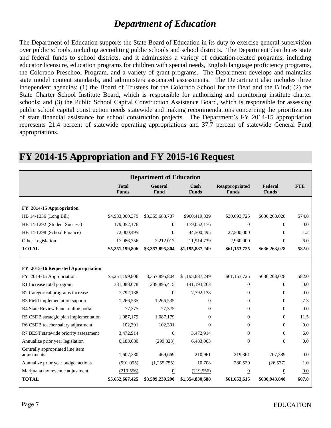### *Department of Education*

The Department of Education supports the State Board of Education in its duty to exercise general supervision over public schools, including accrediting public schools and school districts. The Department distributes state and federal funds to school districts, and it administers a variety of education-related programs, including educator licensure, education programs for children with special needs, English language proficiency programs, the Colorado Preschool Program, and a variety of grant programs. The Department develops and maintains state model content standards, and administers associated assessments. The Department also includes three independent agencies: (1) the Board of Trustees for the Colorado School for the Deaf and the Blind; (2) the State Charter School Institute Board, which is responsible for authorizing and monitoring institute charter schools; and (3) the Public School Capital Construction Assistance Board, which is responsible for assessing public school capital construction needs statewide and making recommendations concerning the prioritization of state financial assistance for school construction projects. The Department's FY 2014-15 appropriation represents 21.4 percent of statewide operating appropriations and 37.7 percent of statewide General Fund appropriations.

| <b>Department of Education</b>                  |                              |                        |                      |                                |                         |            |  |
|-------------------------------------------------|------------------------------|------------------------|----------------------|--------------------------------|-------------------------|------------|--|
|                                                 | <b>Total</b><br><b>Funds</b> | <b>General</b><br>Fund | Cash<br><b>Funds</b> | Reappropriated<br><b>Funds</b> | Federal<br><b>Funds</b> | <b>FTE</b> |  |
|                                                 |                              |                        |                      |                                |                         |            |  |
| FY 2014-15 Appropriation                        |                              |                        |                      |                                |                         |            |  |
| HB 14-1336 (Long Bill)                          | \$4,983,060,379              | \$3,355,683,787        | \$960,419,839        | \$30,693,725                   | \$636,263,028           | 574.8      |  |
| HB 14-1292 (Student Success)                    | 179,052,176                  | $\theta$               | 179,052,176          | $\Omega$                       | $\Omega$                | 0.0        |  |
| HB 14-1298 (School Finance)                     | 72,000,495                   | $\mathbf{0}$           | 44,500,495           | 27,500,000                     | $\Omega$                | 1.2        |  |
| Other Legislation                               | 17,086,756                   | 2,212,017              | 11,914,739           | 2,960,000                      | $\overline{0}$          | 6.0        |  |
| <b>TOTAL</b>                                    | \$5,251,199,806              | \$3,357,895,804        | \$1,195,887,249      | \$61,153,725                   | \$636,263,028           | 582.0      |  |
|                                                 |                              |                        |                      |                                |                         |            |  |
| FY 2015-16 Requested Appropriation              |                              |                        |                      |                                |                         |            |  |
| FY 2014-15 Appropriation                        | \$5,251,199,806              | 3,357,895,804          | \$1,195,887,249      | \$61,153,725                   | \$636,263,028           | 582.0      |  |
| R1 Increase total program                       | 381,088,678                  | 239,895,415            | 141,193,263          | $\mathbf{0}$                   | $\mathbf{0}$            | 0.0        |  |
| R2 Categorical programs increase                | 7,792,138                    | $\Omega$               | 7,792,138            | $\Omega$                       | $\Omega$                | 0.0        |  |
| R3 Field implementation support                 | 1,266,535                    | 1,266,535              | $\Omega$             | $\mathbf{0}$                   | $\Omega$                | 7.3        |  |
| R4 State Review Panel online portal             | 77,375                       | 77,375                 | $\Omega$             | $\Omega$                       | $\Omega$                | 0.0        |  |
| R5 CSDB strategic plan implementation           | 1,087,179                    | 1,087,179              | $\Omega$             | $\Omega$                       | $\Omega$                | 11.5       |  |
| R6 CSDB teacher salary adjustment               | 102,391                      | 102,391                | $\theta$             | $\mathbf{0}$                   | $\Omega$                | 0.0        |  |
| R7 BEST statewide priority assessment           | 3,472,914                    | $\Omega$               | 3,472,914            | $\mathbf{0}$                   | $\Omega$                | 6.0        |  |
| Annualize prior year legislation                | 6,183,680                    | (299, 323)             | 6,483,003            | $\mathbf{0}$                   | $\Omega$                | 0.0        |  |
| Centrally appropriated line item<br>adjustments | 1,607,380                    | 469,669                | 210,961              | 219,361                        | 707,389                 | 0.0        |  |
| Annualize prior year budget actions             | (991,095)                    | (1,255,755)            | 10,708               | 280,529                        | (26, 577)               | 1.0        |  |
| Marijuana tax revenue adjustment                | (219, 556)                   | $\overline{0}$         | (219, 556)           | $\overline{0}$                 | $\overline{0}$          | 0.0        |  |
| <b>TOTAL</b>                                    | \$5,652,667,425              | \$3,599,239,290        | \$1,354,830,680      | \$61,653,615                   | \$636,943,840           | 607.8      |  |

### **FY 2014-15 Appropriation and FY 2015-16 Request**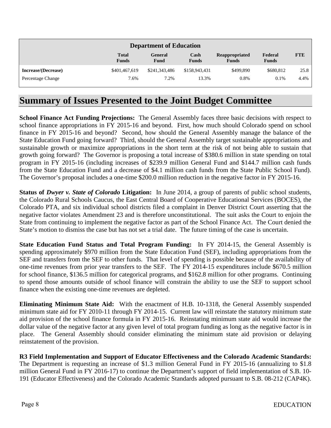| <b>Department of Education</b> |                              |                 |                      |                                       |                         |            |
|--------------------------------|------------------------------|-----------------|----------------------|---------------------------------------|-------------------------|------------|
|                                | <b>Total</b><br><b>Funds</b> | General<br>Fund | Cash<br><b>Funds</b> | <b>Reappropriated</b><br><b>Funds</b> | Federal<br><b>Funds</b> | <b>FTE</b> |
| Increase/(Decrease)            | \$401,467,619                | \$241,343,486   | \$158,943,431        | \$499,890                             | \$680,812               | 25.8       |
| Percentage Change              | 7.6%                         | 7.2%            | 13.3%                | 0.8%                                  | 0.1%                    | 4.4%       |

### **Summary of Issues Presented to the Joint Budget Committee**

**School Finance Act Funding Projections:** The General Assembly faces three basic decisions with respect to school finance appropriations in FY 2015-16 and beyond. First, how much should Colorado spend on school finance in FY 2015-16 and beyond? Second, how should the General Assembly manage the balance of the State Education Fund going forward? Third, should the General Assembly target sustainable appropriations and sustainable growth or maximize appropriations in the short term at the risk of not being able to sustain that growth going forward? The Governor is proposing a total increase of \$380.6 million in state spending on total program in FY 2015-16 (including increases of \$239.9 million General Fund and \$144.7 million cash funds from the State Education Fund and a decrease of \$4.1 million cash funds from the State Public School Fund). The Governor's proposal includes a one-time \$200.0 million reduction in the negative factor in FY 2015-16.

**Status of** *Dwyer v. State of Colorado* **Litigation:** In June 2014, a group of parents of public school students, the Colorado Rural Schools Caucus, the East Central Board of Cooperative Educational Services (BOCES), the Colorado PTA, and six individual school districts filed a complaint in Denver District Court asserting that the negative factor violates Amendment 23 and is therefore unconstitutional. The suit asks the Court to enjoin the State from continuing to implement the negative factor as part of the School Finance Act. The Court denied the State's motion to dismiss the case but has not set a trial date. The future timing of the case is uncertain.

**State Education Fund Status and Total Program Funding:** In FY 2014-15, the General Assembly is spending approximately \$970 million from the State Education Fund (SEF), including appropriations from the SEF and transfers from the SEF to other funds. That level of spending is possible because of the availability of one-time revenues from prior year transfers to the SEF. The FY 2014-15 expenditures include \$670.5 million for school finance, \$136.5 million for categorical programs, and \$162.8 million for other programs. Continuing to spend those amounts outside of school finance will constrain the ability to use the SEF to support school finance when the existing one-time revenues are depleted.

**Eliminating Minimum State Aid:** With the enactment of H.B. 10-1318, the General Assembly suspended minimum state aid for FY 2010-11 through FY 2014-15. Current law will reinstate the statutory minimum state aid provision of the school finance formula in FY 2015-16. Reinstating minimum state aid would increase the dollar value of the negative factor at any given level of total program funding as long as the negative factor is in place. The General Assembly should consider eliminating the minimum state aid provision or delaying reinstatement of the provision.

**R3 Field Implementation and Support of Educator Effectiveness and the Colorado Academic Standards:**  The Department is requesting an increase of \$1.3 million General Fund in FY 2015-16 (annualizing to \$1.8 million General Fund in FY 2016-17) to continue the Department's support of field implementation of S.B. 10- 191 (Educator Effectiveness) and the Colorado Academic Standards adopted pursuant to S.B. 08-212 (CAP4K).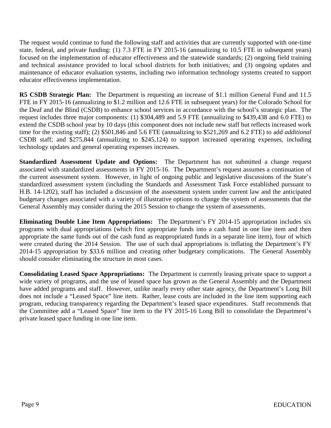The request would continue to fund the following staff and activities that are currently supported with one-time state, federal, and private funding: (1) 7.3 FTE in FY 2015-16 (annualizing to 10.5 FTE in subsequent years) focused on the implementation of educator effectiveness and the statewide standards; (2) ongoing field training and technical assistance provided to local school districts for both initiatives; and (3) ongoing updates and maintenance of educator evaluation systems, including two information technology systems created to support educator effectiveness implementation.

**R5 CSDB Strategic Plan:** The Department is requesting an increase of \$1.1 million General Fund and 11.5 FTE in FY 2015-16 (annualizing to \$1.2 million and 12.6 FTE in subsequent years) for the Colorado School for the Deaf and the Blind (CSDB) to enhance school services in accordance with the school's strategic plan. The request includes three major components: (1) \$304,489 and 5.9 FTE (annualizing to \$439,438 and 6.0 FTE) to extend the CSDB school year by 10 days (this component does not include new staff but reflects increased work time for the existing staff); (2) \$501,846 and 5.6 FTE (annualizing to \$521,269 and 6.2 FTE) to add *additional*  CSDB staff; and \$275,844 (annualizing to \$245,124) to support increased operating expenses, including technology updates and general operating expenses increases.

**Standardized Assessment Update and Options:** The Department has not submitted a change request associated with standardized assessments in FY 2015-16. The Department's request assumes a continuation of the current assessment system. However, in light of ongoing public and legislative discussions of the State's standardized assessment system (including the Standards and Assessment Task Force established pursuant to H.B. 14-1202), staff has included a discussion of the assessment system under current law and the anticipated budgetary changes associated with a variety of illustrative options to change the system of assessments that the General Assembly may consider during the 2015 Session to change the system of assessments.

**Eliminating Double Line Item Appropriations:** The Department's FY 2014-15 appropriation includes six programs with dual appropriations (which first appropriate funds into a cash fund in one line item and then appropriate the same funds out of the cash fund as reappropriated funds in a separate line item), four of which were created during the 2014 Session. The use of such dual appropriations is inflating the Department's FY 2014-15 appropriation by \$33.6 million and creating other budgetary complications. The General Assembly should consider eliminating the structure in most cases.

**Consolidating Leased Space Appropriations:** The Department is currently leasing private space to support a wide variety of programs, and the use of leased space has grown as the General Assembly and the Department have added programs and staff. However, unlike nearly every other state agency, the Department's Long Bill does not include a "Leased Space" line item. Rather, lease costs are included in the line item supporting each program, reducing transparency regarding the Department's leased space expenditures. Staff recommends that the Committee add a "Leased Space" line item to the FY 2015-16 Long Bill to consolidate the Department's private leased space funding in one line item.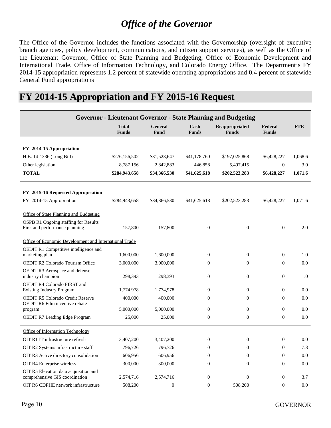# *Office of the Governor*

The Office of the Governor includes the functions associated with the Governorship (oversight of executive branch agencies, policy development, communications, and citizen support services), as well as the Office of the Lieutenant Governor, Office of State Planning and Budgeting, Office of Economic Development and International Trade, Office of Information Technology, and Colorado Energy Office. The Department's FY 2014-15 appropriation represents 1.2 percent of statewide operating appropriations and 0.4 percent of statewide General Fund appropriations

| <b>Governor - Lieutenant Governor - State Planning and Budgeting</b>             |                              |                 |                      |                                |                         |            |  |
|----------------------------------------------------------------------------------|------------------------------|-----------------|----------------------|--------------------------------|-------------------------|------------|--|
|                                                                                  | <b>Total</b><br><b>Funds</b> | General<br>Fund | Cash<br><b>Funds</b> | Reappropriated<br><b>Funds</b> | Federal<br><b>Funds</b> | <b>FTE</b> |  |
|                                                                                  |                              |                 |                      |                                |                         |            |  |
| FY 2014-15 Appropriation                                                         |                              |                 |                      |                                |                         |            |  |
| H.B. 14-1336 (Long Bill)                                                         | \$276,156,502                | \$31,523,647    | \$41,178,760         | \$197,025,868                  | \$6,428,227             | 1,068.6    |  |
| Other legislation                                                                | 8,787,156                    | 2,842,883       | 446,858              | 5,497,415                      | $\boldsymbol{0}$        | 3.0        |  |
| <b>TOTAL</b>                                                                     | \$284,943,658                | \$34,366,530    | \$41,625,618         | \$202,523,283                  | \$6,428,227             | 1,071.6    |  |
| FY 2015-16 Requested Appropriation                                               |                              |                 |                      |                                |                         |            |  |
| FY 2014-15 Appropriation                                                         | \$284,943,658                | \$34,366,530    | \$41,625,618         | \$202,523,283                  | \$6,428,227             | 1,071.6    |  |
| Office of State Planning and Budgeting                                           |                              |                 |                      |                                |                         |            |  |
| OSPB R1 Ongoing staffing for Results<br>First and performance planning           | 157,800                      | 157,800         | $\boldsymbol{0}$     | $\boldsymbol{0}$               | $\mathbf{0}$            | 2.0        |  |
| Office of Economic Development and International Trade                           |                              |                 |                      |                                |                         |            |  |
| OEDIT R1 Competitive intelligence and<br>marketing plan                          | 1,600,000                    | 1,600,000       | $\boldsymbol{0}$     | $\boldsymbol{0}$               | $\theta$                | 1.0        |  |
| <b>OEDIT R2 Colorado Tourism Office</b>                                          | 3,000,000                    | 3,000,000       | $\Omega$             | $\Omega$                       | $\Omega$                | 0.0        |  |
| OEDIT R3 Aerospace and defense<br>industry champion                              | 298,393                      | 298,393         | $\overline{0}$       | $\mathbf{0}$                   | $\theta$                | 1.0        |  |
| OEDIT R4 Colorado FIRST and<br><b>Existing Industry Program</b>                  | 1,774,978                    | 1,774,978       | $\overline{0}$       | $\mathbf{0}$                   | $\theta$                | 0.0        |  |
| <b>OEDIT R5 Colorado Credit Reserve</b><br><b>OEDIT R6 Film incentive rebate</b> | 400,000                      | 400,000         | $\boldsymbol{0}$     | $\boldsymbol{0}$               | $\Omega$                | 0.0        |  |
| program                                                                          | 5,000,000                    | 5,000,000       | $\boldsymbol{0}$     | $\boldsymbol{0}$               | $\theta$                | 0.0        |  |
| <b>OEDIT R7 Leading Edge Program</b>                                             | 25,000                       | 25,000          | $\boldsymbol{0}$     | $\boldsymbol{0}$               | $\overline{0}$          | 0.0        |  |
| Office of Information Technology                                                 |                              |                 |                      |                                |                         |            |  |
| OIT R1 IT infrastructure refresh                                                 | 3,407,200                    | 3,407,200       | $\boldsymbol{0}$     | $\boldsymbol{0}$               | $\overline{0}$          | 0.0        |  |
| OIT R2 Systems infrastructure staff                                              | 796,726                      | 796,726         | $\overline{0}$       | $\mathbf{0}$                   | $\mathbf{0}$            | 7.3        |  |
| OIT R3 Active directory consolidation                                            | 606,956                      | 606,956         | $\overline{0}$       | $\mathbf{0}$                   | $\theta$                | 0.0        |  |
| OIT R4 Enterprise wireless                                                       | 300,000                      | 300,000         | $\overline{0}$       | $\mathbf{0}$                   | $\overline{0}$          | 0.0        |  |
| OIT R5 Elevation data acquisition and<br>comprehensive GIS coordination          | 2,574,716                    | 2,574,716       | $\boldsymbol{0}$     | $\boldsymbol{0}$               | $\boldsymbol{0}$        | 3.7        |  |
| OIT R6 CDPHE network infrastructure                                              | 508,200                      | $\mathbf{0}$    | $\theta$             | 508,200                        | $\theta$                | 0.0        |  |

## **FY 2014-15 Appropriation and FY 2015-16 Request**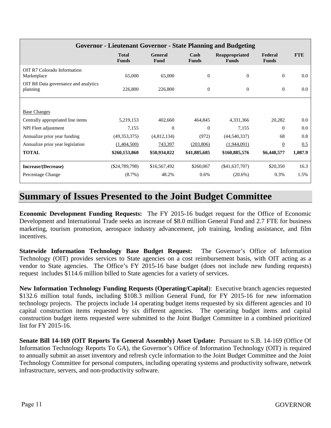| Governor - Lieutenant Governor - State Planning and Budgeting |                              |                        |                      |                                |                         |            |  |  |
|---------------------------------------------------------------|------------------------------|------------------------|----------------------|--------------------------------|-------------------------|------------|--|--|
|                                                               | <b>Total</b><br><b>Funds</b> | <b>General</b><br>Fund | Cash<br><b>Funds</b> | Reappropriated<br><b>Funds</b> | Federal<br><b>Funds</b> | <b>FTE</b> |  |  |
| OIT R7 Colorado Information<br>Marketplace                    | 65,000                       | 65,000                 | $\boldsymbol{0}$     | $\mathbf{0}$                   | $\mathbf{0}$            | 0.0        |  |  |
| OIT R8 Data governance and analytics<br>planning              | 226,800                      | 226,800                | $\boldsymbol{0}$     | $\boldsymbol{0}$               | $\theta$                | 0.0        |  |  |
|                                                               |                              |                        |                      |                                |                         |            |  |  |
| <b>Base Changes</b>                                           |                              |                        |                      |                                |                         |            |  |  |
| Centrally appropriated line items                             | 5,219,153                    | 402,660                | 464,845              | 4,331,366                      | 20,282                  | 0.0        |  |  |
| NPI Fleet adjustment                                          | 7,155                        | $\mathbf{0}$           | $\mathbf{0}$         | 7,155                          | $\overline{0}$          | 0.0        |  |  |
| Annualize prior year funding                                  | (49,353,375)                 | (4,812,134)            | (972)                | (44, 540, 337)                 | 68                      | 0.8        |  |  |
| Annualize prior year legislation                              | (1,404,500)                  | 743,397                | (203, 806)           | (1,944,091)                    | $\overline{0}$          | 0.5        |  |  |
| <b>TOTAL</b>                                                  | \$260,153,860                | \$50,934,022           | \$41,885,685         | \$160,885,576                  | \$6,448,577             | 1,087.9    |  |  |
| Increase/(Decrease)                                           | $(\$24,789,798)$             | \$16,567,492           | \$260,067            | $(\$41,637,707)$               | \$20,350                | 16.3       |  |  |
| Percentage Change                                             | $(8.7\%)$                    | 48.2%                  | 0.6%                 | $(20.6\%)$                     | 0.3%                    | 1.5%       |  |  |

### **Summary of Issues Presented to the Joint Budget Committee**

**Economic Development Funding Requests:** The FY 2015-16 budget request for the Office of Economic Development and International Trade seeks an increase of \$8.0 million General Fund and 2.7 FTE for business marketing, tourism promotion, aerospace industry advancement, job training, lending assistance, and film incentives.

**Statewide Information Technology Base Budget Request:** The Governor's Office of Information Technology (OIT) provides services to State agencies on a cost reimbursement basis, with OIT acting as a vendor to State agencies. The Office's FY 2015-16 base budget (does not include new funding requests) request includes \$114.6 million billed to State agencies for a variety of services.

**New Information Technology Funding Requests (Operating/Capital**): Executive branch agencies requested \$132.6 million total funds, including \$108.3 million General Fund, for FY 2015-16 for new information technology projects. The projects include 14 operating budget items requested by six different agencies and 10 capital construction items requested by six different agencies. The operating budget items and capital construction budget items requested were submitted to the Joint Budget Committee in a combined prioritized list for FY 2015-16.

**Senate Bill 14-169 (OIT Reports To General Assembly) Asset Update:** Pursuant to S.B. 14-169 (Office Of Information Technology Reports To GA), the Governor's Office of Information Technology (OIT) is required to annually submit an asset inventory and refresh cycle information to the Joint Budget Committee and the Joint Technology Committee for personal computers, including operating systems and productivity software, network infrastructure, servers, and non-productivity software.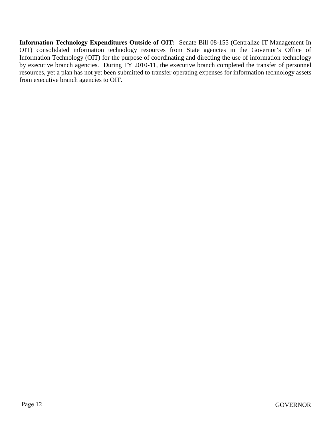**Information Technology Expenditures Outside of OIT:** Senate Bill 08-155 (Centralize IT Management In OIT) consolidated information technology resources from State agencies in the Governor's Office of Information Technology (OIT) for the purpose of coordinating and directing the use of information technology by executive branch agencies. During FY 2010-11, the executive branch completed the transfer of personnel resources, yet a plan has not yet been submitted to transfer operating expenses for information technology assets from executive branch agencies to OIT.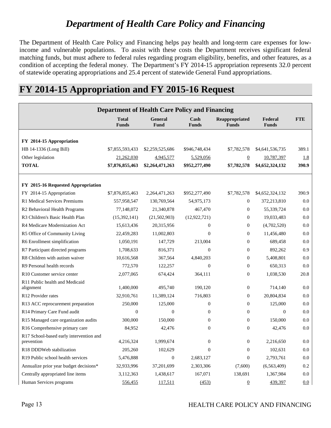### *Department of Health Care Policy and Financing*

The Department of Health Care Policy and Financing helps pay health and long-term care expenses for lowincome and vulnerable populations. To assist with these costs the Department receives significant federal matching funds, but must adhere to federal rules regarding program eligibility, benefits, and other features, as a condition of accepting the federal money. The Department's FY 2014-15 appropriation represents 32.0 percent of statewide operating appropriations and 25.4 percent of statewide General Fund appropriations.

### **FY 2014-15 Appropriation and FY 2015-16 Request**

| <b>Department of Health Care Policy and Financing</b> |                              |                        |                      |                                |                         |            |
|-------------------------------------------------------|------------------------------|------------------------|----------------------|--------------------------------|-------------------------|------------|
|                                                       | <b>Total</b><br><b>Funds</b> | <b>General</b><br>Fund | Cash<br><b>Funds</b> | Reappropriated<br><b>Funds</b> | Federal<br><b>Funds</b> | <b>FTE</b> |
|                                                       |                              |                        |                      |                                |                         |            |
| FY 2014-15 Appropriation                              |                              |                        |                      |                                |                         |            |
| HB 14-1336 (Long Bill)                                | \$7,855,593,433              | \$2,259,525,686        | \$946,748,434        | \$7,782,578                    | \$4,641,536,735         | 389.1      |
| Other legislation                                     | 21,262,030                   | 4,945,577              | 5,529,056            | $\overline{0}$                 | 10,787,397              | 1.8        |
| <b>TOTAL</b>                                          | \$7,876,855,463              | \$2,264,471,263        | \$952,277,490        | \$7,782,578                    | \$4,652,324,132         | 390.9      |
| FY 2015-16 Requested Appropriation                    |                              |                        |                      |                                |                         |            |
| FY 2014-15 Appropriation                              | \$7,876,855,463              | 2,264,471,263          | \$952,277,490        | \$7,782,578                    | \$4,652,324,132         | 390.9      |
| R1 Medical Services Premiums                          | 557,958,547                  | 130,769,564            | 54,975,173           | $\boldsymbol{0}$               | 372,213,810             | 0.0        |
| R2 Behavioral Health Programs                         | 77,148,072                   | 21,340,878             | 467,470              | $\mathbf{0}$                   | 55,339,724              | 0.0        |
| R3 Children's Basic Health Plan                       | (15,392,141)                 | (21,502,903)           | (12, 922, 721)       | $\boldsymbol{0}$               | 19,033,483              | 0.0        |
| R4 Medicare Modernization Act                         | 15,613,436                   | 20,315,956             | $\overline{0}$       | $\overline{0}$                 | (4,702,520)             | 0.0        |
| R5 Office of Community Living                         | 22,459,283                   | 11,002,803             | $\overline{0}$       | $\theta$                       | 11,456,480              | 0.0        |
| R6 Enrollment simplification                          | 1,050,191                    | 147,729                | 213,004              | $\boldsymbol{0}$               | 689,458                 | 0.0        |
| R7 Participant directed programs                      | 1,708,633                    | 816,371                | $\theta$             | $\overline{0}$                 | 892,262                 | 0.9        |
| R8 Children with autism waiver                        | 10,616,568                   | 367,564                | 4,840,203            | $\mathbf{0}$                   | 5,408,801               | 0.0        |
| R9 Personal health records                            | 772,570                      | 122,257                | $\theta$             | $\theta$                       | 650,313                 | 0.0        |
| R <sub>10</sub> Customer service center               | 2,077,065                    | 674,424                | 364,111              | $\overline{0}$                 | 1,038,530               | 20.8       |
| R11 Public health and Medicaid<br>alignment           | 1.400,000                    | 495.740                | 190.120              | $\theta$                       | 714,140                 | 0.0        |
| R12 Provider rates                                    | 32,910,761                   | 11,389,124             | 716,803              | $\mathbf{0}$                   | 20,804,834              | 0.0        |
| R13 ACC reprocurement preparation                     | 250,000                      | 125,000                | $\mathbf{0}$         | $\boldsymbol{0}$               | 125,000                 | 0.0        |
| R14 Primary Care Fund audit                           | $\Omega$                     | $\Omega$               | $\Omega$             | $\mathbf{0}$                   | $\Omega$                | 0.0        |
| R15 Managed care organization audits                  | 300,000                      | 150,000                | $\Omega$             | $\theta$                       | 150,000                 | 0.0        |
| R16 Comprehensive primary care                        | 84,952                       | 42,476                 | $\Omega$             | $\mathbf{0}$                   | 42,476                  | 0.0        |
| R17 School-based early intervention and<br>prevention | 4,216,324                    | 1,999,674              | $\overline{0}$       | $\boldsymbol{0}$               | 2,216,650               | 0.0        |
| R18 DDDWeb stabilization                              | 205,260                      | 102,629                | $\overline{0}$       | $\overline{0}$                 | 102,631                 | 0.0        |
| R <sub>19</sub> Public school health services         | 5,476,888                    | $\mathbf{0}$           | 2,683,127            | $\overline{0}$                 | 2,793,761               | 0.0        |
| Annualize prior year budget decisions*                | 32,933,996                   | 37,201,699             | 2,303,306            | (7,600)                        | (6,563,409)             | $0.2\,$    |
| Centrally appropriated line items                     | 3,112,363                    | 1,438,617              | 167,071              | 138,691                        | 1,367,984               | 0.0        |
| Human Services programs                               | 556,455                      | 117,511                | (453)                | $\overline{0}$                 | 439,397                 | 0.0        |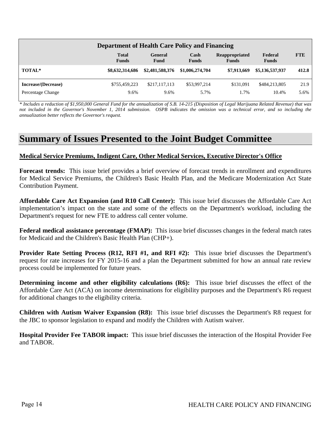| <b>Department of Health Care Policy and Financing</b> |                              |                 |                      |                                       |                         |            |
|-------------------------------------------------------|------------------------------|-----------------|----------------------|---------------------------------------|-------------------------|------------|
|                                                       | <b>Total</b><br><b>Funds</b> | General<br>Fund | Cash<br><b>Funds</b> | <b>Reappropriated</b><br><b>Funds</b> | Federal<br><b>Funds</b> | <b>FTE</b> |
| TOTAL*                                                | \$8,632,314,686              | \$2,481,588,376 | \$1,006,274,704      | \$7,913,669                           | \$5,136,537,937         | 412.8      |
| Increase/(Decrease)                                   | \$755,459,223                | \$217,117,113   | \$53,997,214         | \$131,091                             | \$484,213,805           | 21.9       |
| Percentage Change                                     | 9.6%                         | 9.6%            | 5.7%                 | l.7%                                  | 10.4%                   | 5.6%       |

*\* Includes a reduction of \$1,950,000 General Fund for the annualization of S.B. 14-215 (Disposition of Legal Marijuana Related Revenue) that was not included in the Governor's November 1, 2014 submission. OSPB indicates the omission was a technical error, and so including the annualization better reflects the Governor's request.*

### **Summary of Issues Presented to the Joint Budget Committee**

### **Medical Service Premiums, Indigent Care, Other Medical Services, Executive Director's Office**

**Forecast trends:** This issue brief provides a brief overview of forecast trends in enrollment and expenditures for Medical Service Premiums, the Children's Basic Health Plan, and the Medicare Modernization Act State Contribution Payment.

**Affordable Care Act Expansion (and R10 Call Center):** This issue brief discusses the Affordable Care Act implementation's impact on the state and some of the effects on the Department's workload, including the Department's request for new FTE to address call center volume.

**Federal medical assistance percentage (FMAP):** This issue brief discusses changes in the federal match rates for Medicaid and the Children's Basic Health Plan (CHP+).

**Provider Rate Setting Process (R12, RFI #1, and RFI #2):** This issue brief discusses the Department's request for rate increases for FY 2015-16 and a plan the Department submitted for how an annual rate review process could be implemented for future years.

**Determining income and other eligibility calculations (R6):** This issue brief discusses the effect of the Affordable Care Act (ACA) on income determinations for eligibility purposes and the Department's R6 request for additional changes to the eligibility criteria.

**Children with Autism Waiver Expansion (R8):** This issue brief discusses the Department's R8 request for the JBC to sponsor legislation to expand and modify the Children with Autism waiver.

**Hospital Provider Fee TABOR impact:** This issue brief discusses the interaction of the Hospital Provider Fee and TABOR.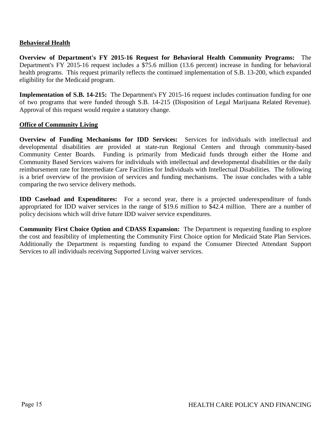### **Behavioral Health**

**Overview of Department's FY 2015-16 Request for Behavioral Health Community Programs:** The Department's FY 2015-16 request includes a \$75.6 million (13.6 percent) increase in funding for behavioral health programs. This request primarily reflects the continued implementation of S.B. 13-200, which expanded eligibility for the Medicaid program.

**Implementation of S.B. 14-215:** The Department's FY 2015-16 request includes continuation funding for one of two programs that were funded through S.B. 14-215 (Disposition of Legal Marijuana Related Revenue). Approval of this request would require a statutory change.

### **Office of Community Living**

**Overview of Funding Mechanisms for IDD Services:** Services for individuals with intellectual and developmental disabilities are provided at state-run Regional Centers and through community-based Community Center Boards. Funding is primarily from Medicaid funds through either the Home and Community Based Services waivers for individuals with intellectual and developmental disabilities or the daily reimbursement rate for Intermediate Care Facilities for Individuals with Intellectual Disabilities. The following is a brief overview of the provision of services and funding mechanisms. The issue concludes with a table comparing the two service delivery methods.

**IDD Caseload and Expenditures:** For a second year, there is a projected underexpenditure of funds appropriated for IDD waiver services in the range of \$19.6 million to \$42.4 million. There are a number of policy decisions which will drive future IDD waiver service expenditures.

**Community First Choice Option and CDASS Expansion:** The Department is requesting funding to explore the cost and feasibility of implementing the Community First Choice option for Medicaid State Plan Services. Additionally the Department is requesting funding to expand the Consumer Directed Attendant Support Services to all individuals receiving Supported Living waiver services.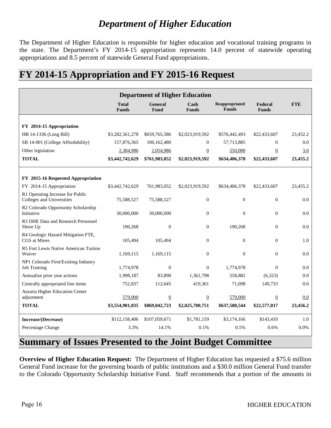# *Department of Higher Education*

The Department of Higher Education is responsible for higher education and vocational training programs in the state. The Department's FY 2014-15 appropriation represents 14.0 percent of statewide operating appropriations and 8.5 percent of statewide General Fund appropriations.

### **FY 2014-15 Appropriation and FY 2015-16 Request**

| <b>Department of Higher Education</b>                         |                              |                  |                      |                                |                         |            |
|---------------------------------------------------------------|------------------------------|------------------|----------------------|--------------------------------|-------------------------|------------|
|                                                               | <b>Total</b><br><b>Funds</b> | General<br>Fund  | Cash<br><b>Funds</b> | Reappropriated<br><b>Funds</b> | Federal<br><b>Funds</b> | <b>FTE</b> |
|                                                               |                              |                  |                      |                                |                         |            |
| FY 2014-15 Appropriation                                      |                              |                  |                      |                                |                         |            |
| HB 14-1336 (Long Bill)                                        | \$3,282,561,278              | \$659,765,586    | \$2,023,919,592      | \$576,442,493                  | \$22,433,607            | 23,452.2   |
| SB 14-001 (College Affordability)                             | 157,876,365                  | 100,162,480      | $\overline{0}$       | 57,713,885                     | $\Omega$                | 0.0        |
| Other legislation                                             | 2,304,986                    | 2,054,986        | $\overline{0}$       | 250,000                        | $\overline{0}$          | 3.0        |
| <b>TOTAL</b>                                                  | \$3,442,742,629              | \$761,983,052    | \$2,023,919,592      | \$634,406,378                  | \$22,433,607            | 23,455.2   |
| FY 2015-16 Requested Appropriation                            |                              |                  |                      |                                |                         |            |
| FY 2014-15 Appropriation                                      | \$3,442,742,629              | 761,983,052      | \$2,023,919,592      | \$634,406,378                  | \$22,433,607            | 23,455.2   |
| R1 Operating Increase for Public<br>Colleges and Universities | 75,588,527                   | 75,588,527       | $\boldsymbol{0}$     | $\boldsymbol{0}$               | $\mathbf{0}$            | 0.0        |
| R2 Colorado Opportunity Scholarship<br>Initiative             | 30,000,000                   | 30,000,000       | $\mathbf{0}$         | $\theta$                       | $\theta$                | 0.0        |
| R3 DHE Data and Research Personnel<br>Shore Up                | 190,268                      | $\boldsymbol{0}$ | $\mathbf{0}$         | 190,268                        | $\overline{0}$          | 0.0        |
| R4 Geologic Hazard Mitigation FTE,<br>CGS at Mines            | 105,494                      | 105,494          | $\boldsymbol{0}$     | $\boldsymbol{0}$               | $\theta$                | 1.0        |
| R5 Fort Lewis Native American Tuition<br>Waiver               | 1,169,115                    | 1,169,115        | $\mathbf{0}$         | $\theta$                       | $\theta$                | 0.0        |
| NP1 Colorado First/Existing Industry<br><b>Job Training</b>   | 1,774,978                    | $\boldsymbol{0}$ | $\theta$             | 1,774,978                      | $\overline{0}$          | 0.0        |
| Annualize prior year actions                                  | 1,998,187                    | 83,890           | 1,361,798            | 558,882                        | (6,323)                 | 0.0        |
| Centrally appropriated line items                             | 752,837                      | 112,645          | 419,361              | 71,098                         | 149,733                 | 0.0        |
| Auraria Higher Education Center                               |                              |                  |                      |                                |                         |            |
| adjustment                                                    | 579,000                      | $\overline{0}$   | $\boldsymbol{0}$     | 579,000                        | $\overline{0}$          | 0.0        |
| <b>TOTAL</b>                                                  | \$3,554,901,035              | \$869,042,723    | \$2,025,700,751      | \$637,580,544                  | \$22,577,017            | 23,456.2   |
| Increase/(Decrease)                                           | \$112,158,406                | \$107,059,671    | \$1,781,159          | \$3,174,166                    | \$143,410               | 1.0        |
| Percentage Change                                             | 3.3%                         | 14.1%            | 0.1%                 | 0.5%                           | 0.6%                    | 0.0%       |

### **Summary of Issues Presented to the Joint Budget Committee**

**Overview of Higher Education Request:** The Department of Higher Education has requested a \$75.6 million General Fund increase for the governing boards of public institutions and a \$30.0 million General Fund transfer to the Colorado Opportunity Scholarship Initiative Fund. Staff recommends that a portion of the amounts in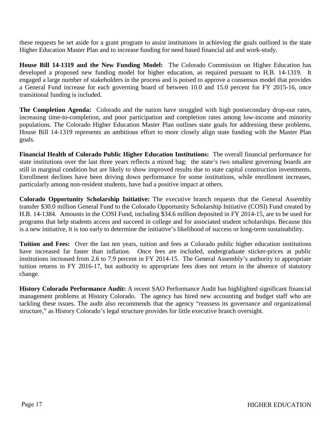these requests be set aside for a grant program to assist institutions in achieving the goals outlined in the state Higher Education Master Plan and to increase funding for need based financial aid and work-study.

**House Bill 14-1319 and the New Funding Model:** The Colorado Commission on Higher Education has developed a proposed new funding model for higher education, as required pursuant to H.B. 14-1319. It engaged a large number of stakeholders in the process and is poised to approve a consensus model that provides a General Fund increase for each governing board of between 10.0 and 15.0 percent for FY 2015-16, once transitional funding is included.

**The Completion Agenda:** Colorado and the nation have struggled with high postsecondary drop-out rates, increasing time-to-completion, and poor participation and completion rates among low-income and minority populations. The Colorado Higher Education Master Plan outlines state goals for addressing these problems. House Bill 14-1319 represents an ambitious effort to more closely align state funding with the Master Plan goals.

**Financial Health of Colorado Public Higher Education Institutions:** The overall financial performance for state institutions over the last three years reflects a mixed bag: the state's two smallest governing boards are still in marginal condition but are likely to show improved results due to state capital construction investments. Enrollment declines have been driving down performance for some institutions, while enrollment increases, particularly among non-resident students, have had a positive impact at others.

**Colorado Opportunity Scholarship Initiative:** The executive branch requests that the General Assembly transfer \$30.0 million General Fund to the Colorado Opportunity Scholarship Initiative (COSI) Fund created by H.B. 14-1384. Amounts in the COSI Fund, including \$34.6 million deposited in FY 2014-15, are to be used for programs that help students access and succeed in college and for associated student scholarships. Because this is a new initiative, it is too early to determine the initiative's likelihood of success or long-term sustainability.

**Tuition and Fees:** Over the last ten years, tuition and fees at Colorado public higher education institutions have increased far faster than inflation. Once fees are included, undergraduate sticker-prices at public institutions increased from 2.6 to 7.9 percent in FY 2014-15. The General Assembly's authority to appropriate tuition returns in FY 2016-17, but authority to appropriate fees does not return in the absence of statutory change.

**History Colorado Performance Audit:** A recent SAO Performance Audit has highlighted significant financial management problems at History Colorado. The agency has hired new accounting and budget staff who are tackling these issues. The audit also recommends that the agency "reassess its governance and organizational structure," as History Colorado's legal structure provides for little executive branch oversight.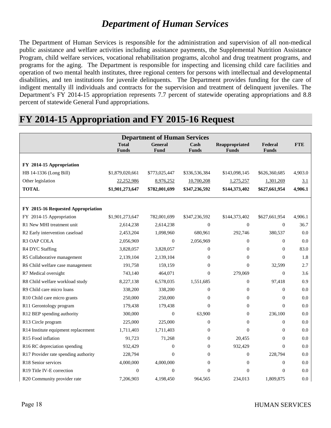### *Department of Human Services*

The Department of Human Services is responsible for the administration and supervision of all non-medical public assistance and welfare activities including assistance payments, the Supplemental Nutrition Assistance Program, child welfare services, vocational rehabilitation programs, alcohol and drug treatment programs, and programs for the aging. The Department is responsible for inspecting and licensing child care facilities and operation of two mental health institutes, three regional centers for persons with intellectual and developmental disabilities, and ten institutions for juvenile delinquents. The Department provides funding for the care of indigent mentally ill individuals and contracts for the supervision and treatment of delinquent juveniles. The Department's FY 2014-15 appropriation represents 7.7 percent of statewide operating appropriations and 8.8 percent of statewide General Fund appropriations.

### **FY 2014-15 Appropriation and FY 2015-16 Request**

|                                         |                              | <b>Department of Human Services</b> |                      |                                |                         |            |
|-----------------------------------------|------------------------------|-------------------------------------|----------------------|--------------------------------|-------------------------|------------|
|                                         | <b>Total</b><br><b>Funds</b> | <b>General</b><br>Fund              | Cash<br><b>Funds</b> | Reappropriated<br><b>Funds</b> | Federal<br><b>Funds</b> | <b>FTE</b> |
|                                         |                              |                                     |                      |                                |                         |            |
| FY 2014-15 Appropriation                |                              |                                     |                      |                                |                         |            |
| HB 14-1336 (Long Bill)                  | \$1,879,020,661              | \$773,025,447                       | \$336,536,384        | \$143,098,145                  | \$626,360,685           | 4,903.0    |
| Other legislation                       | 22,252,986                   | 8,976,252                           | 10,700,208           | 1,275,257                      | 1,301,269               | 3.1        |
| <b>TOTAL</b>                            | \$1,901,273,647              | \$782,001,699                       | \$347,236,592        | \$144,373,402                  | \$627,661,954           | 4,906.1    |
| FY 2015-16 Requested Appropriation      |                              |                                     |                      |                                |                         |            |
| FY 2014-15 Appropriation                | \$1,901,273,647              | 782,001,699                         | \$347,236,592        | \$144,373,402                  | \$627,661,954           | 4,906.1    |
| R1 New MHI treatment unit               | 2,614,238                    | 2,614,238                           | $\boldsymbol{0}$     | $\boldsymbol{0}$               | $\boldsymbol{0}$        | 36.7       |
| R2 Early intervention caseload          | 2,453,204                    | 1,098,960                           | 680,961              | 292,746                        | 380,537                 | 0.0        |
| R3 OAP COLA                             | 2,056,969                    | $\overline{0}$                      | 2,056,969            | $\mathbf{0}$                   | $\mathbf{0}$            | 0.0        |
| R4 DYC Staffing                         | 3,828,057                    | 3,828,057                           | $\overline{0}$       | $\mathbf{0}$                   | $\mathbf{0}$            | 83.0       |
| R5 Collaborative management             | 2,139,104                    | 2,139,104                           | $\overline{0}$       | $\theta$                       | $\theta$                | 1.8        |
| R6 Child welfare case management        | 191,758                      | 159,159                             | $\overline{0}$       | $\overline{0}$                 | 32,599                  | 2.7        |
| R7 Medical oversight                    | 743,140                      | 464,071                             | $\mathbf{0}$         | 279,069                        | $\boldsymbol{0}$        | 3.6        |
| R8 Child welfare workload study         | 8,227,138                    | 6,578,035                           | 1,551,685            | $\mathbf{0}$                   | 97,418                  | 0.9        |
| R9 Child care micro loans               | 338,200                      | 338,200                             | $\theta$             | $\mathbf{0}$                   | $\Omega$                | 0.0        |
| R10 Child care micro grants             | 250,000                      | 250,000                             | $\boldsymbol{0}$     | $\mathbf{0}$                   | $\mathbf{0}$            | 0.0        |
| R11 Gerontology program                 | 179,438                      | 179,438                             | $\mathbf{0}$         | $\mathbf{0}$                   | $\overline{0}$          | 0.0        |
| R12 BEP spending authority              | 300,000                      | $\mathbf{0}$                        | 63,900               | $\mathbf{0}$                   | 236,100                 | 0.0        |
| R13 Circle program                      | 225,000                      | 225,000                             | $\boldsymbol{0}$     | $\mathbf{0}$                   | $\mathbf{0}$            | 0.0        |
| R14 Institute equipment replacement     | 1,711,403                    | 1,711,403                           | $\overline{0}$       | $\Omega$                       | $\mathbf{0}$            | 0.0        |
| R15 Food inflation                      | 91,723                       | 71,268                              | $\boldsymbol{0}$     | 20,455                         | $\boldsymbol{0}$        | 0.0        |
| R16 RC depreciation spending            | 932,429                      | $\overline{0}$                      | $\boldsymbol{0}$     | 932,429                        | $\mathbf{0}$            | 0.0        |
| R17 Provider rate spending authority    | 228,794                      | $\theta$                            | $\mathbf{0}$         | $\mathbf{0}$                   | 228,794                 | 0.0        |
| R18 Senior services                     | 4,000,000                    | 4,000,000                           | $\boldsymbol{0}$     | $\boldsymbol{0}$               | $\boldsymbol{0}$        | 0.0        |
| R <sub>19</sub> Title IV-E correction   | $\theta$                     | $\theta$                            | $\theta$             | $\theta$                       | $\theta$                | 0.0        |
| R <sub>20</sub> Community provider rate | 7,206,903                    | 4.198.450                           | 964.565              | 234,013                        | 1.809.875               | 0.0        |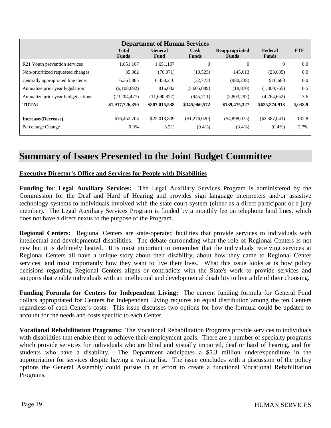| <b>Department of Human Services</b> |                              |                        |                      |                                |                         |            |  |  |
|-------------------------------------|------------------------------|------------------------|----------------------|--------------------------------|-------------------------|------------|--|--|
|                                     | <b>Total</b><br><b>Funds</b> | <b>General</b><br>Fund | Cash<br><b>Funds</b> | Reappropriated<br><b>Funds</b> | Federal<br><b>Funds</b> | <b>FTE</b> |  |  |
| R21 Youth prevention services       | 1,651,107                    | 1,651,107              | $\mathbf{0}$         | $\mathbf{0}$                   | $\Omega$                | 0.0        |  |  |
| Non-prioritized requested changes   | 35,382                       | (76,071)               | (10,525)             | 145,613                        | (23, 635)               | 0.0        |  |  |
| Centrally appropriated line items   | 6,361,885                    | 6,458,210              | (32,775)             | (980, 238)                     | 916,688                 | 0.0        |  |  |
| Annualize prior year legislation    | (6,108,692)                  | 816,032                | (5,605,089)          | (18, 870)                      | (1,300,765)             | 0.5        |  |  |
| Annualize prior year budget actions | (23, 204, 477)               | (11,690,822)           | (945,711)            | (5,803,292)                    | (4,764,652)             | 3.6        |  |  |
| <b>TOTAL</b>                        | \$1,917,726,350              | \$807,015,538          | \$345,960,572        | \$139,475,327                  | \$625,274,913           | 5,038.9    |  |  |
| Increase/(Decrease)                 | \$16,452,703                 | \$25,013,839           | (\$1,276,020)        | (\$4,898,075)                  | $(\$2,387,041)$         | 132.8      |  |  |
| Percentage Change                   | 0.9%                         | 3.2%                   | $(0.4\%)$            | $(3.4\%)$                      | $(0.4\%)$               | 2.7%       |  |  |

### **Summary of Issues Presented to the Joint Budget Committee**

### **Executive Director's Office and Services for People with Disabilities**

**Funding for Legal Auxiliary Services:** The Legal Auxiliary Services Program is administered by the Commission for the Deaf and Hard of Hearing and provides sign language interpreters and/or assistive technology systems to individuals involved with the state court system (either as a direct participant or a jury member). The Legal Auxiliary Services Program is funded by a monthly fee on telephone land lines, which does not have a direct nexus to the purpose of the Program.

**Regional Centers:** Regional Centers are state-operated facilities that provide services to individuals with intellectual and developmental disabilities. The debate surrounding what the role of Regional Centers is not new but it is definitely heated. It is most important to remember that the individuals receiving services at Regional Centers all have a unique story about their disability, about how they came to Regional Center services, and most importantly how they want to live their lives. What this issue looks at is how policy decisions regarding Regional Centers aligns or contradicts with the State's work to provide services and supports that enable individuals with an intellectual and developmental disability to live a life of their choosing.

**Funding Formula for Centers for Independent Living:** The current funding formula for General Fund dollars appropriated for Centers for Independent Living requires an equal distribution among the ten Centers regardless of each Center's costs. This issue discusses two options for how the formula could be updated to account for the needs and costs specific to each Center.

**Vocational Rehabilitation Programs:** The Vocational Rehabilitation Programs provide services to individuals with disabilities that enable them to achieve their employment goals. There are a number of specialty programs which provide services for individuals who are blind and visually impaired, deaf or hard of hearing, and for students who have a disability. The Department anticipates a \$5.3 million underexpenditure in the appropriation for services despite having a waiting list. The issue concludes with a discussion of the policy options the General Assembly could pursue in an effort to create a functional Vocational Rehabilitation Programs.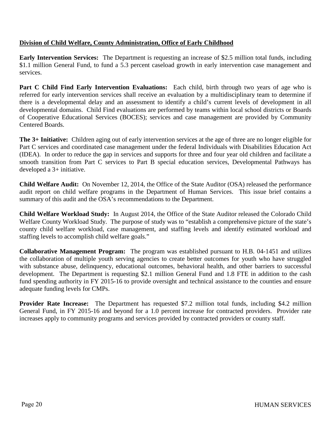### **Division of Child Welfare, County Administration, Office of Early Childhood**

**Early Intervention Services:** The Department is requesting an increase of \$2.5 million total funds, including \$1.1 million General Fund, to fund a 5.3 percent caseload growth in early intervention case management and services.

**Part C Child Find Early Intervention Evaluations:** Each child, birth through two years of age who is referred for early intervention services shall receive an evaluation by a multidisciplinary team to determine if there is a developmental delay and an assessment to identify a child's current levels of development in all developmental domains. Child Find evaluations are performed by teams within local school districts or Boards of Cooperative Educational Services (BOCES); services and case management are provided by Community Centered Boards.

**The 3+ Initiative:** Children aging out of early intervention services at the age of three are no longer eligible for Part C services and coordinated case management under the federal Individuals with Disabilities Education Act (IDEA). In order to reduce the gap in services and supports for three and four year old children and facilitate a smooth transition from Part C services to Part B special education services, Developmental Pathways has developed a 3+ initiative.

**Child Welfare Audit:** On November 12, 2014, the Office of the State Auditor (OSA) released the performance audit report on child welfare programs in the Department of Human Services. This issue brief contains a summary of this audit and the OSA's recommendations to the Department.

**Child Welfare Workload Study:** In August 2014, the Office of the State Auditor released the Colorado Child Welfare County Workload Study. The purpose of study was to "establish a comprehensive picture of the state's county child welfare workload, case management, and staffing levels and identify estimated workload and staffing levels to accomplish child welfare goals."

**Collaborative Management Program:** The program was established pursuant to H.B. 04-1451 and utilizes the collaboration of multiple youth serving agencies to create better outcomes for youth who have struggled with substance abuse, delinquency, educational outcomes, behavioral health, and other barriers to successful development. The Department is requesting \$2.1 million General Fund and 1.8 FTE in addition to the cash fund spending authority in FY 2015-16 to provide oversight and technical assistance to the counties and ensure adequate funding levels for CMPs.

**Provider Rate Increase:** The Department has requested \$7.2 million total funds, including \$4.2 million General Fund, in FY 2015-16 and beyond for a 1.0 percent increase for contracted providers. Provider rate increases apply to community programs and services provided by contracted providers or county staff.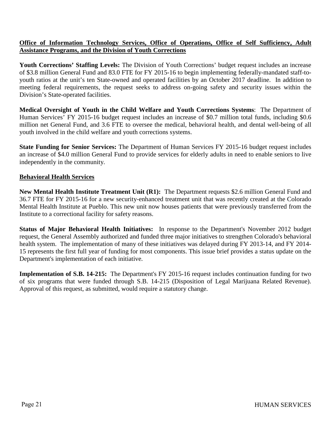### **Office of Information Technology Services, Office of Operations, Office of Self Sufficiency, Adult Assistance Programs, and the Division of Youth Corrections**

**Youth Corrections' Staffing Levels:** The Division of Youth Corrections' budget request includes an increase of \$3.8 million General Fund and 83.0 FTE for FY 2015-16 to begin implementing federally-mandated staff-toyouth ratios at the unit's ten State-owned and operated facilities by an October 2017 deadline. In addition to meeting federal requirements, the request seeks to address on-going safety and security issues within the Division's State-operated facilities.

**Medical Oversight of Youth in the Child Welfare and Youth Corrections Systems**: The Department of Human Services<sup>7</sup> FY 2015-16 budget request includes an increase of \$0.7 million total funds, including \$0.6 million net General Fund, and 3.6 FTE to oversee the medical, behavioral health, and dental well-being of all youth involved in the child welfare and youth corrections systems.

**State Funding for Senior Services:** The Department of Human Services FY 2015-16 budget request includes an increase of \$4.0 million General Fund to provide services for elderly adults in need to enable seniors to live independently in the community.

### **Behavioral Health Services**

**New Mental Health Institute Treatment Unit (R1):** The Department requests \$2.6 million General Fund and 36.7 FTE for FY 2015-16 for a new security-enhanced treatment unit that was recently created at the Colorado Mental Health Institute at Pueblo. This new unit now houses patients that were previously transferred from the Institute to a correctional facility for safety reasons.

**Status of Major Behavioral Health Initiatives:** In response to the Department's November 2012 budget request, the General Assembly authorized and funded three major initiatives to strengthen Colorado's behavioral health system. The implementation of many of these initiatives was delayed during FY 2013-14, and FY 2014- 15 represents the first full year of funding for most components. This issue brief provides a status update on the Department's implementation of each initiative.

**Implementation of S.B. 14-215:** The Department's FY 2015-16 request includes continuation funding for two of six programs that were funded through S.B. 14-215 (Disposition of Legal Marijuana Related Revenue). Approval of this request, as submitted, would require a statutory change.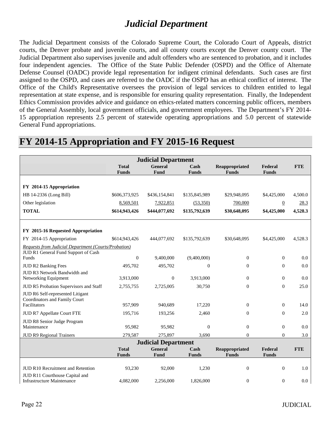# *Judicial Department*

The Judicial Department consists of the Colorado Supreme Court, the Colorado Court of Appeals, district courts, the Denver probate and juvenile courts, and all county courts except the Denver county court. The Judicial Department also supervises juvenile and adult offenders who are sentenced to probation, and it includes four independent agencies. The Office of the State Public Defender (OSPD) and the Office of Alternate Defense Counsel (OADC) provide legal representation for indigent criminal defendants. Such cases are first assigned to the OSPD, and cases are referred to the OADC if the OSPD has an ethical conflict of interest. The Office of the Child's Representative oversees the provision of legal services to children entitled to legal representation at state expense, and is responsible for ensuring quality representation. Finally, the Independent Ethics Commission provides advice and guidance on ethics-related matters concerning public officers, members of the General Assembly, local government officials, and government employees. The Department's FY 2014- 15 appropriation represents 2.5 percent of statewide operating appropriations and 5.0 percent of statewide General Fund appropriations.

| <b>Judicial Department</b>                                  |               |                            |                       |                  |                |            |  |
|-------------------------------------------------------------|---------------|----------------------------|-----------------------|------------------|----------------|------------|--|
|                                                             | <b>Total</b>  | General                    | $\operatorname{Cash}$ | Reappropriated   | Federal        | <b>FTE</b> |  |
|                                                             | <b>Funds</b>  | Fund                       | <b>Funds</b>          | <b>Funds</b>     | <b>Funds</b>   |            |  |
| FY 2014-15 Appropriation                                    |               |                            |                       |                  |                |            |  |
| HB 14-2336 (Long Bill)                                      | \$606,373,925 | \$436,154,841              | \$135,845,989         | \$29,948,095     | \$4,425,000    | 4,500.0    |  |
| Other legislation                                           | 8,569,501     | 7,922,851                  | (53,350)              | 700,000          | $\overline{0}$ | 28.3       |  |
| <b>TOTAL</b>                                                | \$614,943,426 | \$444,077,692              | \$135,792,639         | \$30,648,095     | \$4,425,000    | 4,528.3    |  |
|                                                             |               |                            |                       |                  |                |            |  |
|                                                             |               |                            |                       |                  |                |            |  |
| FY 2015-16 Requested Appropriation                          |               |                            |                       |                  |                |            |  |
| FY 2014-15 Appropriation                                    | \$614,943,426 | 444,077,692                | \$135,792,639         | \$30,648,095     | \$4,425,000    | 4,528.3    |  |
| <b>Requests from Judicial Department (Courts/Probation)</b> |               |                            |                       |                  |                |            |  |
| JUD R1 General Fund Support of Cash<br>Funds                | $\mathbf{0}$  | 9,400,000                  | (9,400,000)           | $\mathbf{0}$     | $\mathbf{0}$   | 0.0        |  |
| <b>JUD R2 Banking Fees</b>                                  | 495,702       | 495,702                    | $\boldsymbol{0}$      | $\boldsymbol{0}$ | $\mathbf{0}$   | 0.0        |  |
| JUD R3 Network Bandwidth and                                |               |                            |                       |                  |                |            |  |
| Networking Equipment                                        | 3,913,000     | $\overline{0}$             | 3,913,000             | $\mathbf{0}$     | $\overline{0}$ | 0.0        |  |
| JUD R5 Probation Supervisors and Staff                      | 2,755,755     | 2,725,005                  | 30,750                | $\theta$         | $\Omega$       | 25.0       |  |
| JUD R6 Self-represented Litigant                            |               |                            |                       |                  |                |            |  |
| Coordinators and Family Court<br>Facilitators               | 957.909       | 940.689                    | 17,220                | $\theta$         | $\theta$       | 14.0       |  |
| JUD R7 Appellate Court FTE                                  | 195,716       | 193,256                    | 2,460                 | $\mathbf{0}$     | $\Omega$       | 2.0        |  |
| JUD R8 Senior Judge Program                                 |               |                            |                       |                  |                |            |  |
| Maintenance                                                 | 95,982        | 95,982                     | $\theta$              | $\theta$         | $\theta$       | 0.0        |  |
| <b>JUD R9 Regional Trainers</b>                             | 279,587       | 275,897                    | 3.690                 | $\Omega$         | $\Omega$       | 3.0        |  |
|                                                             |               | <b>Judicial Department</b> |                       |                  |                |            |  |
|                                                             | <b>Total</b>  | <b>General</b>             | Cash                  | Reappropriated   | Federal        | <b>FTE</b> |  |
|                                                             | <b>Funds</b>  | Fund                       | <b>Funds</b>          | <b>Funds</b>     | <b>Funds</b>   |            |  |
| <b>JUD R10 Recruitment and Retention</b>                    | 93,230        | 92,000                     | 1,230                 | $\boldsymbol{0}$ | $\mathbf{0}$   | 1.0        |  |
| JUD R11 Courthouse Capital and                              |               |                            |                       |                  |                |            |  |
| <b>Infrastructure Maintenance</b>                           | 4,082,000     | 2,256,000                  | 1,826,000             | $\boldsymbol{0}$ | $\Omega$       | 0.0        |  |

### **FY 2014-15 Appropriation and FY 2015-16 Request**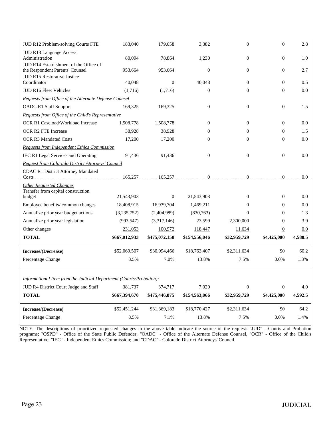| JUD R12 Problem-solving Courts FTE                                                  | 183,040       | 179,658          | 3,382            | $\mathbf{0}$     | $\boldsymbol{0}$ | 2.8     |
|-------------------------------------------------------------------------------------|---------------|------------------|------------------|------------------|------------------|---------|
| JUD R13 Language Access<br>Administration<br>JUD R14 Establishment of the Office of | 80,094        | 78,864           | 1,230            | $\mathbf{0}$     | $\boldsymbol{0}$ | 1.0     |
| the Respondent Parents' Counsel<br>JUD R15 Restorative Justice                      | 953,664       | 953,664          | $\boldsymbol{0}$ | $\mathbf{0}$     | $\boldsymbol{0}$ | 2.7     |
| Coordinator                                                                         | 40,048        | $\mathbf{0}$     | 40,048           | $\overline{0}$   | $\mathbf{0}$     | 0.5     |
| JUD R16 Fleet Vehicles                                                              | (1,716)       | (1,716)          | $\boldsymbol{0}$ | $\mathbf{0}$     | $\boldsymbol{0}$ | 0.0     |
| Requests from Office of the Alternate Defense Counsel                               |               |                  |                  |                  |                  |         |
| <b>OADC R1 Staff Support</b>                                                        | 169,325       | 169,325          | $\boldsymbol{0}$ | $\mathbf{0}$     | $\boldsymbol{0}$ | 1.5     |
| Requests from Office of the Child's Representative                                  |               |                  |                  |                  |                  |         |
| OCR R1 Caseload/Workload Increase                                                   | 1,508,778     | 1,508,778        | $\mathbf{0}$     | $\mathbf{0}$     | $\boldsymbol{0}$ | 0.0     |
| OCR R2 FTE Increase                                                                 | 38,928        | 38,928           | $\mathbf{0}$     | $\overline{0}$   | $\mathbf{0}$     | 1.5     |
| <b>OCR R3 Mandated Costs</b>                                                        | 17,200        | 17,200           | $\boldsymbol{0}$ | $\overline{0}$   | $\boldsymbol{0}$ | 0.0     |
| <b>Requests from Independent Ethics Commission</b>                                  |               |                  |                  |                  |                  |         |
| IEC R1 Legal Services and Operating                                                 | 91,436        | 91,436           | $\boldsymbol{0}$ | $\mathbf{0}$     | $\boldsymbol{0}$ | 0.0     |
| Request from Colorado District Attorneys' Council                                   |               |                  |                  |                  |                  |         |
| <b>CDAC R1 District Attorney Mandated</b><br>Costs                                  | 165,257       | 165,257          | $\boldsymbol{0}$ | $\boldsymbol{0}$ | $\boldsymbol{0}$ | 0.0     |
| <b>Other Requested Changes</b>                                                      |               |                  |                  |                  |                  |         |
| Transfer from capital construction<br>budget                                        | 21,543,903    | $\boldsymbol{0}$ | 21,543,903       | $\mathbf{0}$     | $\boldsymbol{0}$ | 0.0     |
| Employee benefits/common changes                                                    | 18,408,915    | 16,939,704       | 1,469,211        | $\theta$         | $\mathbf{0}$     | 0.0     |
| Annualize prior year budget actions                                                 | (3,235,752)   | (2,404,989)      | (830,763)        | $\mathbf{0}$     | $\mathbf{0}$     | 1.3     |
| Annualize prior year legislation                                                    | (993, 547)    | (3,317,146)      | 23,599           | 2,300,000        | $\mathbf{0}$     | 3.9     |
| Other changes                                                                       | 231,053       | 100,972          | 118,447          | 11,634           | $\overline{0}$   | 0.0     |
| <b>TOTAL</b>                                                                        | \$667,012,933 |                  |                  |                  |                  | 4,588.5 |
|                                                                                     |               | \$475,072,158    | \$154,556,046    | \$32,959,729     | \$4,425,000      |         |
| Increase/(Decrease)                                                                 | \$52,069,507  | \$30,994,466     | \$18,763,407     | \$2,311,634      | \$0              | 60.2    |
| Percentage Change                                                                   | 8.5%          | 7.0%             | 13.8%            | 7.5%             | 0.0%             | 1.3%    |
|                                                                                     |               |                  |                  |                  |                  |         |
| Informational Item from the Judicial Department (Courts/Probation):                 |               |                  |                  |                  |                  |         |
| JUD R4 District Court Judge and Staff                                               | 381,737       | 374,717          | 7,020            | $\overline{0}$   | $\underline{0}$  | 4.0     |
| <b>TOTAL</b>                                                                        | \$667,394,670 | \$475,446,875    | \$154,563,066    | \$32,959,729     | \$4,425,000      | 4,592.5 |
| Increase/(Decrease)                                                                 | \$52,451,244  | \$31,369,183     | \$18,770,427     | \$2,311,634      | \$0              | 64.2    |
| Percentage Change                                                                   | 8.5%          | 7.1%             | 13.8%            | 7.5%             | 0.0%             | 1.4%    |

NOTE: The descriptions of prioritized requested changes in the above table indicate the source of the request: "JUD" - Courts and Probation programs; "OSPD" - Office of the State Public Defender; "OADC" - Office of the Alternate Defense Counsel, "OCR" - Office of the Child's Representative; "IEC" - Independent Ethics Commission; and "CDAC" - Colorado District Attorneys' Council.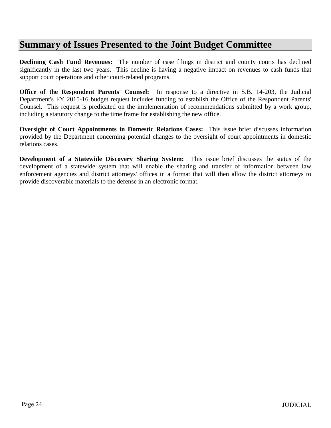### **Summary of Issues Presented to the Joint Budget Committee**

**Declining Cash Fund Revenues:** The number of case filings in district and county courts has declined significantly in the last two years. This decline is having a negative impact on revenues to cash funds that support court operations and other court-related programs.

**Office of the Respondent Parents' Counsel:** In response to a directive in S.B. 14-203, the Judicial Department's FY 2015-16 budget request includes funding to establish the Office of the Respondent Parents' Counsel. This request is predicated on the implementation of recommendations submitted by a work group, including a statutory change to the time frame for establishing the new office.

**Oversight of Court Appointments in Domestic Relations Cases:** This issue brief discusses information provided by the Department concerning potential changes to the oversight of court appointments in domestic relations cases.

**Development of a Statewide Discovery Sharing System:** This issue brief discusses the status of the development of a statewide system that will enable the sharing and transfer of information between law enforcement agencies and district attorneys' offices in a format that will then allow the district attorneys to provide discoverable materials to the defense in an electronic format.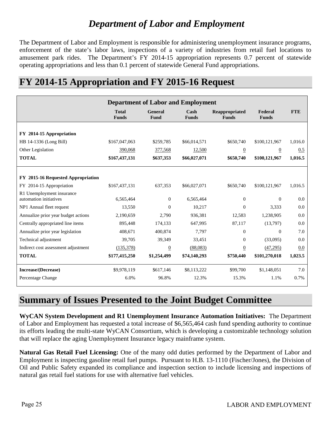# *Department of Labor and Employment*

The Department of Labor and Employment is responsible for administering unemployment insurance programs, enforcement of the state's labor laws, inspections of a variety of industries from retail fuel locations to amusement park rides. The Department's FY 2014-15 appropriation represents 0.7 percent of statewide operating appropriations and less than 0.1 percent of statewide General Fund appropriations.

# **FY 2014-15 Appropriation and FY 2015-16 Request**

|                                                     | <b>Department of Labor and Employment</b> |                        |                      |                                |                         |            |  |  |
|-----------------------------------------------------|-------------------------------------------|------------------------|----------------------|--------------------------------|-------------------------|------------|--|--|
|                                                     | <b>Total</b><br><b>Funds</b>              | <b>General</b><br>Fund | Cash<br><b>Funds</b> | Reappropriated<br><b>Funds</b> | Federal<br><b>Funds</b> | <b>FTE</b> |  |  |
| FY 2014-15 Appropriation                            |                                           |                        |                      |                                |                         |            |  |  |
| HB 14-1336 (Long Bill)                              | \$167,047,063                             | \$259,785              | \$66,014,571         | \$650,740                      | \$100,121,967           | 1,016.0    |  |  |
| Other Legislation                                   | 390,068                                   | 377,568                | 12,500               | $\overline{0}$                 | $\overline{0}$          | 0.5        |  |  |
| <b>TOTAL</b>                                        | \$167,437,131                             | \$637,353              | \$66,027,071         | \$650,740                      | \$100,121,967           | 1,016.5    |  |  |
|                                                     |                                           |                        |                      |                                |                         |            |  |  |
| FY 2015-16 Requested Appropriation                  |                                           |                        |                      |                                |                         |            |  |  |
| FY 2014-15 Appropriation                            | \$167,437,131                             | 637,353                | \$66,027,071         | \$650,740                      | \$100,121,967           | 1,016.5    |  |  |
| R1 Unemployment insurance<br>automation initiatives | 6,565,464                                 | $\Omega$               | 6,565,464            | $\overline{0}$                 | $\Omega$                | 0.0        |  |  |
| NP1 Annual fleet request                            | 13,550                                    | $\Omega$               | 10,217               | $\theta$                       | 3,333                   | 0.0        |  |  |
| Annualize prior year budget actions                 | 2,190,659                                 | 2,790                  | 936,381              | 12,583                         | 1,238,905               | 0.0        |  |  |
| Centrally appropriated line items                   | 895,448                                   | 174,133                | 647,995              | 87,117                         | (13,797)                | 0.0        |  |  |
| Annualize prior year legislation                    | 408,671                                   | 400,874                | 7.797                | $\overline{0}$                 | $\overline{0}$          | 7.0        |  |  |
| Technical adjustment                                | 39,705                                    | 39,349                 | 33,451               | $\overline{0}$                 | (33,095)                | 0.0        |  |  |
| Indirect cost assessment adjustment                 | (135,378)                                 | $\overline{0}$         | (88,083)             | $\overline{0}$                 | (47,295)                | 0.0        |  |  |
| <b>TOTAL</b>                                        | \$177,415,250                             | \$1,254,499            | \$74,140,293         | \$750,440                      | \$101,270,018           | 1,023.5    |  |  |
| Increase/(Decrease)                                 | \$9,978,119                               | \$617,146              | \$8,113,222          | \$99,700                       | \$1,148,051             | 7.0        |  |  |
| Percentage Change                                   | 6.0%                                      | 96.8%                  | 12.3%                | 15.3%                          | 1.1%                    | 0.7%       |  |  |

### **Summary of Issues Presented to the Joint Budget Committee**

**WyCAN System Development and R1 Unemployment Insurance Automation Initiatives:** The Department of Labor and Employment has requested a total increase of \$6,565,464 cash fund spending authority to continue its efforts leading the multi-state WyCAN Consortium, which is developing a customizable technology solution that will replace the aging Unemployment Insurance legacy mainframe system.

**Natural Gas Retail Fuel Licensing:** One of the many odd duties performed by the Department of Labor and Employment is inspecting gasoline retail fuel pumps. Pursuant to H.B. 13-1110 (Fischer/Jones), the Division of Oil and Public Safety expanded its compliance and inspection section to include licensing and inspections of natural gas retail fuel stations for use with alternative fuel vehicles.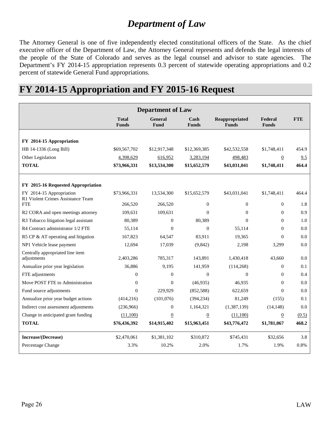# *Department of Law*

The Attorney General is one of five independently elected constitutional officers of the State. As the chief executive officer of the Department of Law, the Attorney General represents and defends the legal interests of the people of the State of Colorado and serves as the legal counsel and advisor to state agencies. The Department's FY 2014-15 appropriation represents 0.3 percent of statewide operating appropriations and 0.2 percent of statewide General Fund appropriations.

### **FY 2014-15 Appropriation and FY 2015-16 Request**

| <b>Department of Law</b>                                      |                              |                               |                      |                                |                         |            |
|---------------------------------------------------------------|------------------------------|-------------------------------|----------------------|--------------------------------|-------------------------|------------|
|                                                               | <b>Total</b><br><b>Funds</b> | <b>General</b><br><b>Fund</b> | Cash<br><b>Funds</b> | Reappropriated<br><b>Funds</b> | Federal<br><b>Funds</b> | <b>FTE</b> |
| FY 2014-15 Appropriation                                      |                              |                               |                      |                                |                         |            |
| HB 14-1336 (Long Bill)                                        | \$69,567,702                 | \$12,917,348                  | \$12,369,385         | \$42,532,558                   | \$1,748,411             | 454.9      |
| Other Legislation                                             | 4,398,629                    | 616,952                       | 3,283,194            | 498,483                        | $\overline{0}$          | 9.5        |
| <b>TOTAL</b>                                                  | \$73,966,331                 | \$13,534,300                  | \$15,652,579         | \$43,031,041                   | \$1,748,411             | 464.4      |
| FY 2015-16 Requested Appropriation                            |                              |                               |                      |                                |                         |            |
| FY 2014-15 Appropriation<br>R1 Violent Crimes Assistance Team | \$73,966,331                 | 13,534,300                    | \$15,652,579         | \$43,031,041                   | \$1,748,411             | 464.4      |
| <b>FTE</b>                                                    | 266,520                      | 266,520                       | $\overline{0}$       | $\theta$                       | $\Omega$                | 1.8        |
| R2 CORA and open meetings attorney                            | 109,631                      | 109,631                       | $\Omega$             | $\Omega$                       | $\Omega$                | 0.9        |
| R3 Tobacco litigation legal assistant                         | 80,389                       | $\Omega$                      | 80,389               | $\Omega$                       | $\Omega$                | 1.0        |
| R4 Contract administrator 1/2 FTE                             | 55,114                       | $\Omega$                      | $\Omega$             | 55,114                         | $\Omega$                | 0.0        |
| R5 CP & AT operating and litigation                           | 167,823                      | 64.547                        | 83,911               | 19,365                         | $\Omega$                | 0.0        |
| NP1 Vehicle lease payment                                     | 12,694                       | 17,039                        | (9, 842)             | 2,198                          | 3,299                   | 0.0        |
| Centrally appropriated line item<br>adjustments               | 2,403,286                    | 785,317                       | 143,891              | 1,430,418                      | 43,660                  | 0.0        |
| Annualize prior year legislation                              | 36,886                       | 9,195                         | 141,959              | (114, 268)                     | $\Omega$                | 0.1        |
| FTE adjustments                                               | $\overline{0}$               | $\theta$                      | $\Omega$             | $\Omega$                       | $\Omega$                | 0.4        |
| Move POST FTE to Administration                               | $\overline{0}$               | $\overline{0}$                | (46,935)             | 46,935                         | $\Omega$                | 0.0        |
| Fund source adjustments                                       | $\theta$                     | 229,929                       | (852, 588)           | 622,659                        | $\Omega$                | 0.0        |
| Annualize prior year budget actions                           | (414, 216)                   | (101,076)                     | (394, 234)           | 81,249                         | (155)                   | 0.1        |
| Indirect cost assessment adjustments                          | (236,966)                    | $\mathbf{0}$                  | 1,164,321            | (1,387,139)                    | (14, 148)               | 0.0        |
| Change in anticipated grant funding                           | (11,100)                     | $\overline{0}$                | $\underline{0}$      | (11,100)                       | $\overline{0}$          | (0.5)      |
| <b>TOTAL</b>                                                  | \$76,436,392                 | \$14,915,402                  | \$15,963,451         | \$43,776,472                   | \$1,781,067             | 468.2      |
| Increase/(Decrease)                                           | \$2,470,061                  | \$1,381,102                   | \$310,872            | \$745,431                      | \$32,656                | 3.8        |
| Percentage Change                                             | 3.3%                         | 10.2%                         | 2.0%                 | 1.7%                           | 1.9%                    | 0.8%       |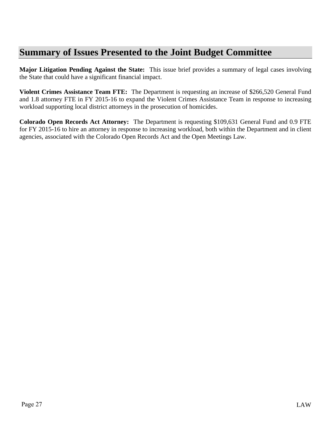# **Summary of Issues Presented to the Joint Budget Committee**

**Major Litigation Pending Against the State:** This issue brief provides a summary of legal cases involving the State that could have a significant financial impact.

**Violent Crimes Assistance Team FTE:** The Department is requesting an increase of \$266,520 General Fund and 1.8 attorney FTE in FY 2015-16 to expand the Violent Crimes Assistance Team in response to increasing workload supporting local district attorneys in the prosecution of homicides.

**Colorado Open Records Act Attorney:** The Department is requesting \$109,631 General Fund and 0.9 FTE for FY 2015-16 to hire an attorney in response to increasing workload, both within the Department and in client agencies, associated with the Colorado Open Records Act and the Open Meetings Law.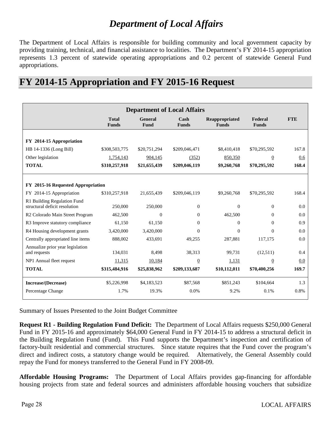### *Department of Local Affairs*

The Department of Local Affairs is responsible for building community and local government capacity by providing training, technical, and financial assistance to localities. The Department's FY 2014-15 appropriation represents 1.3 percent of statewide operating appropriations and 0.2 percent of statewide General Fund appropriations.

### **FY 2014-15 Appropriation and FY 2015-16 Request**

| <b>Department of Local Affairs</b>                           |                              |                        |                      |                                |                         |            |  |  |  |
|--------------------------------------------------------------|------------------------------|------------------------|----------------------|--------------------------------|-------------------------|------------|--|--|--|
|                                                              | <b>Total</b><br><b>Funds</b> | <b>General</b><br>Fund | Cash<br><b>Funds</b> | Reappropriated<br><b>Funds</b> | Federal<br><b>Funds</b> | <b>FTE</b> |  |  |  |
| FY 2014-15 Appropriation                                     |                              |                        |                      |                                |                         |            |  |  |  |
| HB 14-1336 (Long Bill)                                       | \$308,503,775                | \$20,751,294           | \$209,046,471        | \$8,410,418                    | \$70,295,592            | 167.8      |  |  |  |
| Other legislation                                            | 1,754,143                    | 904,145                | (352)                | 850,350                        | $\overline{0}$          | 0.6        |  |  |  |
| <b>TOTAL</b>                                                 | \$310,257,918                | \$21,655,439           | \$209,046,119        | \$9,260,768                    | \$70,295,592            | 168.4      |  |  |  |
|                                                              |                              |                        |                      |                                |                         |            |  |  |  |
| FY 2015-16 Requested Appropriation                           |                              |                        |                      |                                |                         |            |  |  |  |
| FY 2014-15 Appropriation                                     | \$310,257,918                | 21,655,439             | \$209,046,119        | \$9,260,768                    | \$70,295,592            | 168.4      |  |  |  |
| R1 Building Regulation Fund<br>structural deficit resolution | 250,000                      | 250,000                | $\overline{0}$       | $\theta$                       | $\theta$                | 0.0        |  |  |  |
| R <sub>2</sub> Colorado Main Street Program                  | 462,500                      | $\mathbf{0}$           | $\overline{0}$       | 462,500                        | $\Omega$                | 0.0        |  |  |  |
| R3 Improve statutory compliance                              | 61,150                       | 61,150                 | $\overline{0}$       | $\Omega$                       | $\Omega$                | 0.9        |  |  |  |
| R4 Housing development grants                                | 3,420,000                    | 3,420,000              | $\Omega$             | $\Omega$                       | $\Omega$                | 0.0        |  |  |  |
| Centrally appropriated line items                            | 888,002                      | 433,691                | 49.255               | 287.881                        | 117,175                 | 0.0        |  |  |  |
| Annualize prior year legislation<br>and requests             | 134,031                      | 8,498                  | 38,313               | 99,731                         | (12,511)                | 0.4        |  |  |  |
| NP1 Annual fleet request                                     | 11,315                       | 10,184                 | $\overline{0}$       | 1,131                          | $\boldsymbol{0}$        | 0.0        |  |  |  |
| <b>TOTAL</b>                                                 | \$315,484,916                | \$25,838,962           | \$209,133,687        | \$10,112,011                   | \$70,400,256            | 169.7      |  |  |  |
| Increase/(Decrease)                                          | \$5,226,998                  | \$4,183,523            | \$87,568             | \$851,243                      | \$104,664               | 1.3        |  |  |  |
| Percentage Change                                            | 1.7%                         | 19.3%                  | 0.0%                 | 9.2%                           | 0.1%                    | 0.8%       |  |  |  |

Summary of Issues Presented to the Joint Budget Committee

**Request R1 - Building Regulation Fund Deficit:** The Department of Local Affairs requests \$250,000 General Fund in FY 2015-16 and approximately \$64,000 General Fund in FY 2014-15 to address a structural deficit in the Building Regulation Fund (Fund). This Fund supports the Department's inspection and certification of factory-built residential and commercial structures. Since statute requires that the Fund cover the program's direct and indirect costs, a statutory change would be required. Alternatively, the General Assembly could repay the Fund for moneys transferred to the General Fund in FY 2008-09.

**Affordable Housing Programs:** The Department of Local Affairs provides gap-financing for affordable housing projects from state and federal sources and administers affordable housing vouchers that subsidize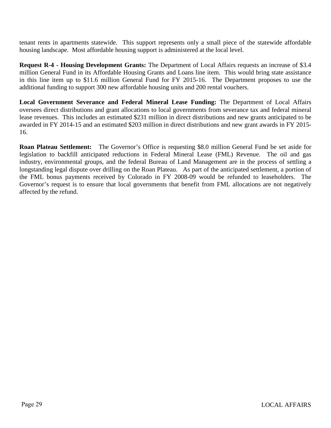tenant rents in apartments statewide. This support represents only a small piece of the statewide affordable housing landscape. Most affordable housing support is administered at the local level.

**Request R-4 - Housing Development Grants:** The Department of Local Affairs requests an increase of \$3.4 million General Fund in its Affordable Housing Grants and Loans line item. This would bring state assistance in this line item up to \$11.6 million General Fund for FY 2015-16. The Department proposes to use the additional funding to support 300 new affordable housing units and 200 rental vouchers.

**Local Government Severance and Federal Mineral Lease Funding:** The Department of Local Affairs oversees direct distributions and grant allocations to local governments from severance tax and federal mineral lease revenues. This includes an estimated \$231 million in direct distributions and new grants anticipated to be awarded in FY 2014-15 and an estimated \$203 million in direct distributions and new grant awards in FY 2015- 16.

**Roan Plateau Settlement:** The Governor's Office is requesting \$8.0 million General Fund be set aside for legislation to backfill anticipated reductions in Federal Mineral Lease (FML) Revenue. The oil and gas industry, environmental groups, and the federal Bureau of Land Management are in the process of settling a longstanding legal dispute over drilling on the Roan Plateau. As part of the anticipated settlement, a portion of the FML bonus payments received by Colorado in FY 2008-09 would be refunded to leaseholders. The Governor's request is to ensure that local governments that benefit from FML allocations are not negatively affected by the refund.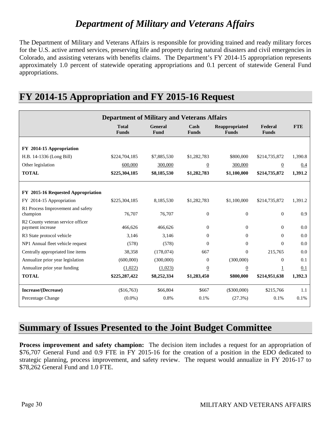# *Department of Military and Veterans Affairs*

The Department of Military and Veterans Affairs is responsible for providing trained and ready military forces for the U.S. active armed services, preserving life and property during natural disasters and civil emergencies in Colorado, and assisting veterans with benefits claims. The Department's FY 2014-15 appropriation represents approximately 1.0 percent of statewide operating appropriations and 0.1 percent of statewide General Fund appropriations.

| <b>Department of Military and Veterans Affairs</b>    |                              |                        |                                 |                                |                         |            |  |  |
|-------------------------------------------------------|------------------------------|------------------------|---------------------------------|--------------------------------|-------------------------|------------|--|--|
|                                                       | <b>Total</b><br><b>Funds</b> | <b>General</b><br>Fund | $\mathbf{Cash}$<br><b>Funds</b> | Reappropriated<br><b>Funds</b> | Federal<br><b>Funds</b> | <b>FTE</b> |  |  |
| FY 2014-15 Appropriation                              |                              |                        |                                 |                                |                         |            |  |  |
| H.B. 14-1336 (Long Bill)                              | \$224,704,185                | \$7,885,530            | \$1,282,783                     | \$800,000                      | \$214,735,872           | 1,390.8    |  |  |
| Other legislation                                     | 600,000                      | 300,000                | $\overline{0}$                  | 300,000                        | $\overline{0}$          | 0.4        |  |  |
| <b>TOTAL</b>                                          | \$225,304,185                | \$8,185,530            | \$1,282,783                     | \$1,100,000                    | \$214,735,872           | 1,391.2    |  |  |
| FY 2015-16 Requested Appropriation                    |                              |                        |                                 |                                |                         |            |  |  |
| FY 2014-15 Appropriation                              | \$225,304,185                | 8,185,530              | \$1,282,783                     | \$1,100,000                    | \$214,735,872           | 1,391.2    |  |  |
| R1 Process Improvement and safety<br>champion         | 76,707                       | 76,707                 | $\boldsymbol{0}$                | $\boldsymbol{0}$               | $\overline{0}$          | 0.9        |  |  |
| R2 County veteran service officer<br>payment increase | 466,626                      | 466,626                | $\mathbf{0}$                    | $\theta$                       | $\overline{0}$          | 0.0        |  |  |
| R3 State protocol vehicle                             | 3.146                        | 3.146                  | $\mathbf{0}$                    | $\theta$                       | $\Omega$                | 0.0        |  |  |
| NP1 Annual fleet vehicle request                      | (578)                        | (578)                  | $\Omega$                        | $\Omega$                       | $\Omega$                | 0.0        |  |  |
| Centrally appropriated line items                     | 38,358                       | (178,074)              | 667                             | $\Omega$                       | 215,765                 | 0.0        |  |  |
| Annualize prior year legislation                      | (600,000)                    | (300,000)              | $\Omega$                        | (300,000)                      | $\Omega$                | 0.1        |  |  |
| Annualize prior year funding                          | (1,022)                      | (1,023)                | $\boldsymbol{0}$                | $\overline{0}$                 | 1                       | 0.1        |  |  |
| <b>TOTAL</b>                                          | \$225,287,422                | \$8,252,334            | \$1,283,450                     | \$800,000                      | \$214,951,638           | 1,392.3    |  |  |
| Increase/(Decrease)                                   | (\$16,763)                   | \$66,804               | \$667                           | $(\$300,000)$                  | \$215,766               | 1.1        |  |  |
| Percentage Change                                     | $(0.0\%)$                    | 0.8%                   | 0.1%                            | (27.3%)                        | 0.1%                    | 0.1%       |  |  |

## **FY 2014-15 Appropriation and FY 2015-16 Request**

### **Summary of Issues Presented to the Joint Budget Committee**

**Process improvement and safety champion:** The decision item includes a request for an appropriation of \$76,707 General Fund and 0.9 FTE in FY 2015-16 for the creation of a position in the EDO dedicated to strategic planning, process improvement, and safety review. The request would annualize in FY 2016-17 to \$78,262 General Fund and 1.0 FTE.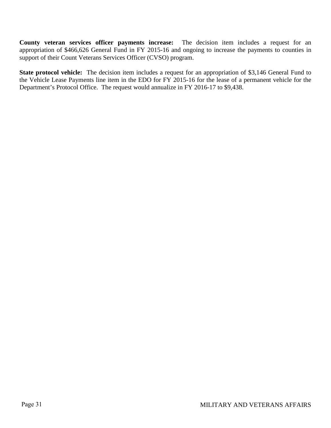**County veteran services officer payments increase:** The decision item includes a request for an appropriation of \$466,626 General Fund in FY 2015-16 and ongoing to increase the payments to counties in support of their Count Veterans Services Officer (CVSO) program.

**State protocol vehicle:** The decision item includes a request for an appropriation of \$3,146 General Fund to the Vehicle Lease Payments line item in the EDO for FY 2015-16 for the lease of a permanent vehicle for the Department's Protocol Office. The request would annualize in FY 2016-17 to \$9,438.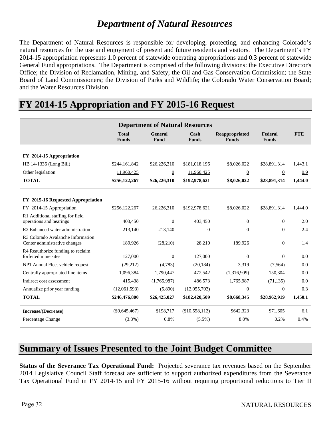## *Department of Natural Resources*

The Department of Natural Resources is responsible for developing, protecting, and enhancing Colorado's natural resources for the use and enjoyment of present and future residents and visitors. The Department's FY 2014-15 appropriation represents 1.0 percent of statewide operating appropriations and 0.3 percent of statewide General Fund appropriations. The Department is comprised of the following divisions: the Executive Director's Office; the Division of Reclamation, Mining, and Safety; the Oil and Gas Conservation Commission; the State Board of Land Commissioners; the Division of Parks and Wildlife; the Colorado Water Conservation Board; and the Water Resources Division.

| <b>Department of Natural Resources</b>                                         |                              |                        |                                       |                                |                         |            |  |  |
|--------------------------------------------------------------------------------|------------------------------|------------------------|---------------------------------------|--------------------------------|-------------------------|------------|--|--|
|                                                                                | <b>Total</b><br><b>Funds</b> | <b>General</b><br>Fund | $\operatorname{Cash}$<br><b>Funds</b> | Reappropriated<br><b>Funds</b> | Federal<br><b>Funds</b> | <b>FTE</b> |  |  |
|                                                                                |                              |                        |                                       |                                |                         |            |  |  |
| FY 2014-15 Appropriation                                                       |                              |                        |                                       |                                |                         |            |  |  |
| HB 14-1336 (Long Bill)                                                         | \$244,161,842                | \$26,226,310           | \$181,018,196                         | \$8,026,022                    | \$28,891,314            | 1,443.1    |  |  |
| Other legislation                                                              | 11,960,425                   | $\overline{0}$         | 11,960,425                            | $\overline{0}$                 | $\overline{0}$          | 0.9        |  |  |
| <b>TOTAL</b>                                                                   | \$256,122,267                | \$26,226,310           | \$192,978,621                         | \$8,026,022                    | \$28,891,314            | 1,444.0    |  |  |
|                                                                                |                              |                        |                                       |                                |                         |            |  |  |
| FY 2015-16 Requested Appropriation                                             |                              |                        |                                       |                                |                         |            |  |  |
| FY 2014-15 Appropriation                                                       | \$256,122,267                | 26,226,310             | \$192,978,621                         | \$8,026,022                    | \$28,891,314            | 1,444.0    |  |  |
| R1 Additional staffing for field                                               |                              |                        |                                       |                                |                         |            |  |  |
| operations and hearings                                                        | 403,450                      | $\Omega$               | 403,450                               | $\theta$                       | $\Omega$                | 2.0        |  |  |
| R2 Enhanced water administration                                               | 213,140                      | 213.140                | $\theta$                              | $\mathbf{0}$                   | $\overline{0}$          | 2.4        |  |  |
| R <sub>3</sub> Colorado Avalanche Information<br>Center administrative changes | 189,926                      | (28, 210)              | 28,210                                | 189,926                        | $\Omega$                | 1.4        |  |  |
| R4 Reauthorize funding to reclaim                                              |                              |                        |                                       |                                |                         |            |  |  |
| forfeited mine sites                                                           | 127,000                      | $\mathbf{0}$           | 127,000                               | $\boldsymbol{0}$               | $\mathbf{0}$            | 0.0        |  |  |
| NP1 Annual Fleet vehicle request                                               | (29,212)                     | (4,783)                | (20, 184)                             | 3.319                          | (7,564)                 | 0.0        |  |  |
| Centrally appropriated line items                                              | 1,096,384                    | 1,790,447              | 472,542                               | (1,316,909)                    | 150,304                 | 0.0        |  |  |
| Indirect cost assessment                                                       | 415,438                      | (1,765,987)            | 486,573                               | 1,765,987                      | (71, 135)               | 0.0        |  |  |
| Annualize prior year funding                                                   | (12,061,593)                 | (5,890)                | (12,055,703)                          | $\overline{0}$                 | $\overline{0}$          | 0.3        |  |  |
| <b>TOTAL</b>                                                                   | \$246,476,800                | \$26,425,027           | \$182,420,509                         | \$8,668,345                    | \$28,962,919            | 1,450.1    |  |  |
| Increase/(Decrease)                                                            | $(\$9,645,467)$              | \$198,717              | (\$10,558,112)                        | \$642,323                      | \$71,605                | 6.1        |  |  |
| Percentage Change                                                              | $(3.8\%)$                    | 0.8%                   | $(5.5\%)$                             | 8.0%                           | 0.2%                    | 0.4%       |  |  |

### **FY 2014-15 Appropriation and FY 2015-16 Request**

### **Summary of Issues Presented to the Joint Budget Committee**

**Status of the Severance Tax Operational Fund:** Projected severance tax revenues based on the September 2014 Legislative Council Staff forecast are sufficient to support authorized expenditures from the Severance Tax Operational Fund in FY 2014-15 and FY 2015-16 without requiring proportional reductions to Tier II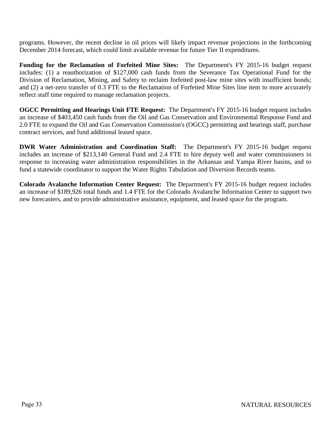programs. However, the recent decline in oil prices will likely impact revenue projections in the forthcoming December 2014 forecast, which could limit available revenue for future Tier II expenditures.

**Funding for the Reclamation of Forfeited Mine Sites:** The Department's FY 2015-16 budget request includes: (1) a reauthorization of \$127,000 cash funds from the Severance Tax Operational Fund for the Division of Reclamation, Mining, and Safety to reclaim forfeited post-law mine sites with insufficient bonds; and (2) a net-zero transfer of 0.3 FTE to the Reclamation of Forfeited Mine Sites line item to more accurately reflect staff time required to manage reclamation projects.

**OGCC Permitting and Hearings Unit FTE Request:** The Department's FY 2015-16 budget request includes an increase of \$403,450 cash funds from the Oil and Gas Conservation and Environmental Response Fund and 2.0 FTE to expand the Oil and Gas Conservation Commission's (OGCC) permitting and hearings staff, purchase contract services, and fund additional leased space.

**DWR Water Administration and Coordination Staff:** The Department's FY 2015-16 budget request includes an increase of \$213,140 General Fund and 2.4 FTE to hire deputy well and water commissioners in response to increasing water administration responsibilities in the Arkansas and Yampa River basins, and to fund a statewide coordinator to support the Water Rights Tabulation and Diversion Records teams.

**Colorado Avalanche Information Center Request:** The Department's FY 2015-16 budget request includes an increase of \$189,926 total funds and 1.4 FTE for the Colorado Avalanche Information Center to support two new forecasters, and to provide administrative assistance, equipment, and leased space for the program.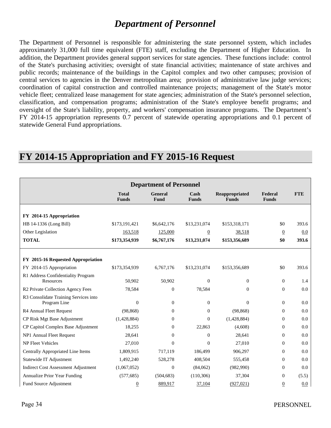### *Department of Personnel*

The Department of Personnel is responsible for administering the state personnel system, which includes approximately 31,000 full time equivalent (FTE) staff, excluding the Department of Higher Education. In addition, the Department provides general support services for state agencies. These functions include: control of the State's purchasing activities; oversight of state financial activities; maintenance of state archives and public records; maintenance of the buildings in the Capitol complex and two other campuses; provision of central services to agencies in the Denver metropolitan area; provision of administrative law judge services; coordination of capital construction and controlled maintenance projects; management of the State's motor vehicle fleet; centralized lease management for state agencies; administration of the State's personnel selection, classification, and compensation programs; administration of the State's employee benefit programs; and oversight of the State's liability, property, and workers' compensation insurance programs. The Department's FY 2014-15 appropriation represents 0.7 percent of statewide operating appropriations and 0.1 percent of statewide General Fund appropriations.

| <b>Department of Personnel</b>                  |                              |                               |                      |                                       |                         |            |  |
|-------------------------------------------------|------------------------------|-------------------------------|----------------------|---------------------------------------|-------------------------|------------|--|
|                                                 | <b>Total</b><br><b>Funds</b> | <b>General</b><br><b>Fund</b> | Cash<br><b>Funds</b> | <b>Reappropriated</b><br><b>Funds</b> | Federal<br><b>Funds</b> | <b>FTE</b> |  |
|                                                 |                              |                               |                      |                                       |                         |            |  |
| FY 2014-15 Appropriation                        |                              |                               |                      |                                       |                         |            |  |
| HB 14-1336 (Long Bill)                          | \$173,191,421                | \$6,642,176                   | \$13,231,074         | \$153,318,171                         | \$0                     | 393.6      |  |
| Other Legislation                               | 163,518                      | 125,000                       | $\overline{0}$       | 38,518                                | $\overline{0}$          | 0.0        |  |
| <b>TOTAL</b>                                    | \$173,354,939                | \$6,767,176                   | \$13,231,074         | \$153,356,689                         | \$0                     | 393.6      |  |
|                                                 |                              |                               |                      |                                       |                         |            |  |
| FY 2015-16 Requested Appropriation              |                              |                               |                      |                                       |                         |            |  |
| FY 2014-15 Appropriation                        | \$173,354,939                | 6,767,176                     | \$13,231,074         | \$153,356,689                         | \$0                     | 393.6      |  |
| R1 Address Confidentiality Program<br>Resources | 50,902                       | 50,902                        | $\Omega$             | $\mathbf{0}$                          | $\overline{0}$          | 1.4        |  |
| R2 Private Collection Agency Fees               | 78,584                       | $\overline{0}$                | 78,584               | $\mathbf{0}$                          | $\Omega$                | 0.0        |  |
| R3 Consolidate Training Services into           |                              |                               |                      |                                       |                         |            |  |
| Program Line                                    | $\overline{0}$               | $\mathbf{0}$                  | $\theta$             | $\mathbf{0}$                          | $\mathbf{0}$            | 0.0        |  |
| R4 Annual Fleet Request                         | (98, 868)                    | $\theta$                      | $\mathbf{0}$         | (98, 868)                             | $\Omega$                | 0.0        |  |
| CP Risk Mgt Base Adjustment                     | (1,428,884)                  | $\Omega$                      | $\mathbf{0}$         | (1,428,884)                           | $\Omega$                | 0.0        |  |
| CP Capitol Complex Base Adjustment              | 18,255                       | $\Omega$                      | 22,863               | (4,608)                               | $\Omega$                | 0.0        |  |
| NP1 Annual Fleet Request                        | 28,641                       | $\Omega$                      | $\mathbf{0}$         | 28,641                                | $\Omega$                | 0.0        |  |
| <b>NP Fleet Vehicles</b>                        | 27,010                       | $\Omega$                      | $\theta$             | 27,010                                | $\Omega$                | 0.0        |  |
| Centrally Appropriated Line Items               | 1,809,915                    | 717,119                       | 186,499              | 906,297                               | $\Omega$                | 0.0        |  |
| Statewide IT Adjustment                         | 1,492,240                    | 528,278                       | 408,504              | 555,458                               | $\Omega$                | 0.0        |  |
| <b>Indirect Cost Assessment Adjustment</b>      | (1,067,052)                  | $\overline{0}$                | (84,062)             | (982,990)                             | $\Omega$                | 0.0        |  |
| Annualize Prior Year Funding                    | (577, 685)                   | (504, 683)                    | (110, 306)           | 37,304                                | $\Omega$                | (5.5)      |  |
| Fund Source Adjustment                          | $\overline{0}$               | 889,917                       | 37,104               | (927, 021)                            | $\overline{0}$          | 0.0        |  |

### **FY 2014-15 Appropriation and FY 2015-16 Request**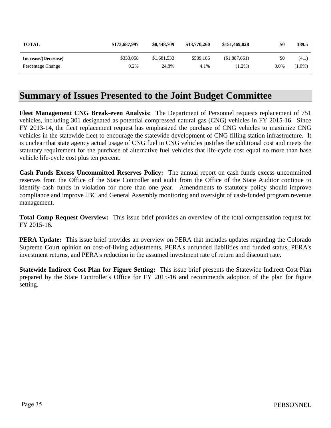| <b>TOTAL</b>        | \$173,687,997 | \$8,448,709 | \$13,770,260 | \$151,469,028 | \$0     | 389.5     |
|---------------------|---------------|-------------|--------------|---------------|---------|-----------|
| Increase/(Decrease) | \$333,058     | \$1,681,533 | \$539.186    | (\$1,887,661) | \$0     | (4.1)     |
| Percentage Change   | 0.2%          | 24.8%       | 4.1%         | $(1.2\%)$     | $0.0\%$ | $(1.0\%)$ |

### **Summary of Issues Presented to the Joint Budget Committee**

**Fleet Management CNG Break-even Analysis:** The Department of Personnel requests replacement of 751 vehicles, including 301 designated as potential compressed natural gas (CNG) vehicles in FY 2015-16. Since FY 2013-14, the fleet replacement request has emphasized the purchase of CNG vehicles to maximize CNG vehicles in the statewide fleet to encourage the statewide development of CNG filling station infrastructure. It is unclear that state agency actual usage of CNG fuel in CNG vehicles justifies the additional cost and meets the statutory requirement for the purchase of alternative fuel vehicles that life-cycle cost equal no more than base vehicle life-cycle cost plus ten percent.

**Cash Funds Excess Uncommitted Reserves Policy:** The annual report on cash funds excess uncommitted reserves from the Office of the State Controller and audit from the Office of the State Auditor continue to identify cash funds in violation for more than one year. Amendments to statutory policy should improve compliance and improve JBC and General Assembly monitoring and oversight of cash-funded program revenue management.

**Total Comp Request Overview:** This issue brief provides an overview of the total compensation request for FY 2015-16.

**PERA Update:** This issue brief provides an overview on PERA that includes updates regarding the Colorado Supreme Court opinion on cost-of-living adjustments, PERA's unfunded liabilities and funded status, PERA's investment returns, and PERA's reduction in the assumed investment rate of return and discount rate.

**Statewide Indirect Cost Plan for Figure Setting:** This issue brief presents the Statewide Indirect Cost Plan prepared by the State Controller's Office for FY 2015-16 and recommends adoption of the plan for figure setting.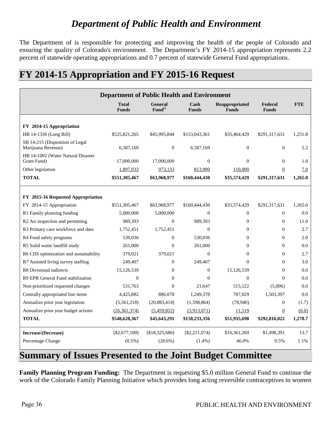# *Department of Public Health and Environment*

The Department of is responsible for protecting and improving the health of the people of Colorado and ensuring the quality of Colorado's environment. The Department's FY 2014-15 appropriation represents 2.2 percent of statewide operating appropriations and 0.7 percent of statewide General Fund appropriations.

### **FY 2014-15 Appropriation and FY 2015-16 Request**

| <b>Department of Public Health and Environment</b>    |                              |                               |                                       |                                       |                         |            |  |  |
|-------------------------------------------------------|------------------------------|-------------------------------|---------------------------------------|---------------------------------------|-------------------------|------------|--|--|
|                                                       | <b>Total</b><br><b>Funds</b> | General<br>Fund <sup>/1</sup> | $\operatorname{Cash}$<br><b>Funds</b> | <b>Reappropriated</b><br><b>Funds</b> | Federal<br><b>Funds</b> | <b>FTE</b> |  |  |
|                                                       |                              |                               |                                       |                                       |                         |            |  |  |
| FY 2014-15 Appropriation                              |                              |                               |                                       |                                       |                         |            |  |  |
| HB 14-1336 (Long Bill)                                | \$525,821,265                | \$45,995,844                  | \$153,043,361                         | \$35,464,429                          | \$291,317,631           | 1,251.8    |  |  |
| SB 14-215 (Disposition of Legal<br>Marijuana Revenue) | 6,587,169                    | $\boldsymbol{0}$              | 6,587,169                             | $\boldsymbol{0}$                      | $\boldsymbol{0}$        | 5.2        |  |  |
| HB 14-1002 (Water Natural Disaster<br>Grant Fund)     | 17,000,000                   | 17,000,000                    | $\overline{0}$                        | $\mathbf{0}$                          | $\overline{0}$          | 1.0        |  |  |
| Other legislation                                     | 1,897,033                    | 973,133                       | 813,900                               | 110,000                               | $\boldsymbol{0}$        | 7.0        |  |  |
| <b>TOTAL</b>                                          | \$551,305,467                | \$63,968,977                  | \$160,444,430                         | \$35,574,429                          | \$291,317,631           | 1,265.0    |  |  |
|                                                       |                              |                               |                                       |                                       |                         |            |  |  |
| FY 2015-16 Requested Appropriation                    |                              |                               |                                       |                                       |                         |            |  |  |
| FY 2014-15 Appropriation                              | \$551,305,467                | \$63,968,977                  | \$160,444,430                         | \$35,574,429                          | \$291,317,631           | 1,265.0    |  |  |
| R1 Family planning funding                            | 5,000,000                    | 5,000,000                     | $\theta$                              | $\boldsymbol{0}$                      | $\Omega$                | 0.0        |  |  |
| R2 Air inspection and permitting                      | 989,393                      | $\theta$                      | 989,393                               | $\mathbf{0}$                          | $\mathbf{0}$            | 11.0       |  |  |
| R3 Primary care workforce and data                    | 1,752,451                    | 1,752,451                     | $\theta$                              | $\Omega$                              | $\theta$                | 2.7        |  |  |
| R4 Food safety programs                               | 530,036                      | $\overline{0}$                | 530,036                               | $\Omega$                              | $\Omega$                | 2.0        |  |  |
| R5 Solid waste landfill study                         | 261,000                      | $\overline{0}$                | 261,000                               | $\theta$                              | $\theta$                | 0.0        |  |  |
| R6 CIIS optimization and sustainability               | 379,021                      | 379,021                       | $\overline{0}$                        | $\overline{0}$                        | $\overline{0}$          | 2.7        |  |  |
| R7 Assisted living survey staffing                    | 249,407                      | $\theta$                      | 249.407                               | $\Omega$                              | $\Omega$                | 3.0        |  |  |
| R8 Divisional indirects                               | 15,126,539                   | 0                             | $\theta$                              | 15,126,539                            | $\theta$                | 0.0        |  |  |
| R9 EPR General Fund stabilization                     | $\Omega$                     | $\Omega$                      | $\theta$                              | $\theta$                              | $\theta$                | 0.0        |  |  |
| Non-prioritized requested changes                     | 531,763                      | $\theta$                      | 21,647                                | 515,122                               | (5,006)                 | 0.0        |  |  |
| Centrally appropriated line items                     | 4,425,882                    | 886,078                       | 1,249,378                             | 787,029                               | 1,503,397               | 0.0        |  |  |
| Annualize prior year legislation                      | (5,561,218)                  | (20, 883, 414)                | (1,598,864)                           | (78,940)                              | $\boldsymbol{0}$        | (1.7)      |  |  |
| Annualize prior year budget actions                   | (26,361,374)                 | (5,459,822)                   | (3,913,071)                           | 11,519                                | $\overline{0}$          | (6.0)      |  |  |
| <b>TOTAL</b>                                          | \$548,628,367                | \$45,643,291                  | \$158,233,356                         | \$51,935,698                          | \$292,816,022           | 1,278.7    |  |  |
| Increase/(Decrease)                                   | $(\$2,677,100)$              | (\$18,325,686)                | $(\$2,211,074)$                       | \$16,361,269                          | \$1,498,391             | 13.7       |  |  |
| Percentage Change                                     | $(0.5\%)$                    | (28.6%)                       | $(1.4\%)$                             | 46.0%                                 | 0.5%                    | 1.1%       |  |  |

# **Summary of Issues Presented to the Joint Budget Committee**

**Family Planning Program Funding:** The Department is requesting \$5.0 million General Fund to continue the work of the Colorado Family Planning Initiative which provides long acting reversible contraceptives to women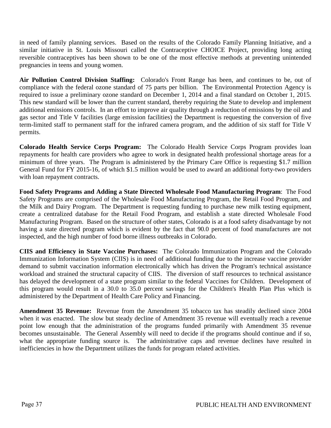in need of family planning services. Based on the results of the Colorado Family Planning Initiative, and a similar initiative in St. Louis Missouri called the Contraceptive CHOICE Project, providing long acting reversible contraceptives has been shown to be one of the most effective methods at preventing unintended pregnancies in teens and young women.

**Air Pollution Control Division Staffing:** Colorado's Front Range has been, and continues to be, out of compliance with the federal ozone standard of 75 parts per billion. The Environmental Protection Agency is required to issue a preliminary ozone standard on December 1, 2014 and a final standard on October 1, 2015. This new standard will be lower than the current standard, thereby requiring the State to develop and implement additional emissions controls. In an effort to improve air quality through a reduction of emissions by the oil and gas sector and Title V facilities (large emission facilities) the Department is requesting the conversion of five term-limited staff to permanent staff for the infrared camera program, and the addition of six staff for Title V permits.

**Colorado Health Service Corps Program:** The Colorado Health Service Corps Program provides loan repayments for health care providers who agree to work in designated health professional shortage areas for a minimum of three years. The Program is administered by the Primary Care Office is requesting \$1.7 million General Fund for FY 2015-16, of which \$1.5 million would be used to award an additional forty-two providers with loan repayment contracts.

**Food Safety Programs and Adding a State Directed Wholesale Food Manufacturing Program**: The Food Safety Programs are comprised of the Wholesale Food Manufacturing Program, the Retail Food Program, and the Milk and Dairy Program. The Department is requesting funding to purchase new milk testing equipment, create a centralized database for the Retail Food Program, and establish a state directed Wholesale Food Manufacturing Program. Based on the structure of other states, Colorado is at a food safety disadvantage by not having a state directed program which is evident by the fact that 90.0 percent of food manufactures are not inspected, and the high number of food borne illness outbreaks in Colorado.

**CIIS and Efficiency in State Vaccine Purchases:** The Colorado Immunization Program and the Colorado Immunization Information System (CIIS) is in need of additional funding due to the increase vaccine provider demand to submit vaccination information electronically which has driven the Program's technical assistance workload and strained the structural capacity of CIIS. The diversion of staff resources to technical assistance has delayed the development of a state program similar to the federal Vaccines for Children. Development of this program would result in a 30.0 to 35.0 percent savings for the Children's Health Plan Plus which is administered by the Department of Health Care Policy and Financing.

**Amendment 35 Revenue:** Revenue from the Amendment 35 tobacco tax has steadily declined since 2004 when it was enacted. The slow but steady decline of Amendment 35 revenue will eventually reach a revenue point low enough that the administration of the programs funded primarily with Amendment 35 revenue becomes unsustainable. The General Assembly will need to decide if the programs should continue and if so, what the appropriate funding source is. The administrative caps and revenue declines have resulted in inefficiencies in how the Department utilizes the funds for program related activities.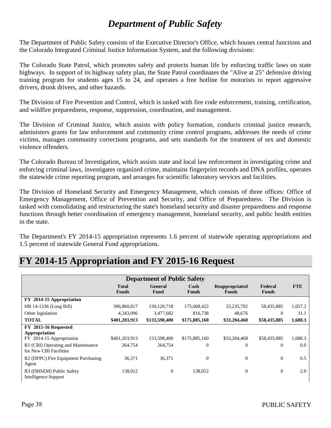# *Department of Public Safety*

The Department of Public Safety consists of the Executive Director's Office, which houses central functions and the Colorado Integrated Criminal Justice Information System, and the following divisions:

The Colorado State Patrol, which promotes safety and protects human life by enforcing traffic laws on state highways. In support of its highway safety plan, the State Patrol coordinates the "Alive at 25" defensive driving training program for students ages 15 to 24, and operates a free hotline for motorists to report aggressive drivers, drunk drivers, and other hazards.

The Division of Fire Prevention and Control, which is tasked with fire code enforcement, training, certification, and wildfire preparedness, response, suppression, coordination, and management.

The Division of Criminal Justice, which assists with policy formation, conducts criminal justice research, administers grants for law enforcement and community crime control programs, addresses the needs of crime victims, manages community corrections programs, and sets standards for the treatment of sex and domestic violence offenders.

The Colorado Bureau of Investigation, which assists state and local law enforcement in investigating crime and enforcing criminal laws, investigates organized crime, maintains fingerprint records and DNA profiles, operates the statewide crime reporting program, and arranges for scientific laboratory services and facilities.

The Division of Homeland Security and Emergency Management, which consists of three offices: Office of Emergency Management, Office of Prevention and Security, and Office of Preparedness. The Division is tasked with consolidating and restructuring the state's homeland security and disaster preparedness and response functions through better coordination of emergency management, homeland security, and public health entities in the state.

The Department's FY 2014-15 appropriation represents 1.6 percent of statewide operating appropriations and 1.5 percent of statewide General Fund appropriations.

| <b>Department of Public Safety</b>                                |                              |                        |                      |                                |                         |            |
|-------------------------------------------------------------------|------------------------------|------------------------|----------------------|--------------------------------|-------------------------|------------|
|                                                                   | <b>Total</b><br><b>Funds</b> | <b>General</b><br>Fund | Cash<br><b>Funds</b> | Reappropriated<br><b>Funds</b> | Federal<br><b>Funds</b> | <b>FTE</b> |
| FY 2014-15 Appropriation                                          |                              |                        |                      |                                |                         |            |
| HB 14-1336 (Long Bill)                                            | 396,860,817                  | 130, 120, 718          | 175,068,422          | 33,235,792                     | 58,435,885              | 1,657.2    |
| Other legislation                                                 | 4,343,096                    | 3,477,682              | 816,738              | 48,676                         | $\Omega$                | 31.1       |
| <b>TOTAL</b>                                                      | \$401,203,913                | \$133,598,400          | \$175,885,160        | \$33,284,468                   | \$58,435,885            | 1,688.3    |
| FY 2015-16 Requested<br>Appropriation<br>FY 2014-15 Appropriation | \$401,203,913                | 133,598,400            | \$175,885,160        | \$33,284,468                   | \$58,435,885            | 1,688.3    |
| R1 (CBI) Operating and Maintenance<br>for New CBI Facilities      | 264,754                      | 264,754                | $\theta$             | $\theta$                       | $\overline{0}$          | $0.0\,$    |
| R <sub>2</sub> (DFPC) Fire Equipment Purchasing<br>Agent          | 36,371                       | 36,371                 | $\boldsymbol{0}$     | $\boldsymbol{0}$               | $\theta$                | 0.5        |
| R3 (DHSEM) Public Safety<br>Intelligence Support                  | 138,012                      | $\overline{0}$         | 138.012              | $\theta$                       | $\overline{0}$          | 2.0        |

# **FY 2014-15 Appropriation and FY 2015-16 Request**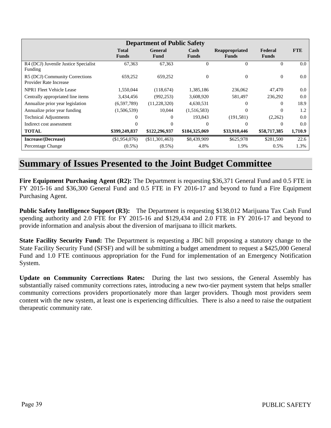| <b>Department of Public Safety</b>                              |                              |                        |                      |                                |                         |            |
|-----------------------------------------------------------------|------------------------------|------------------------|----------------------|--------------------------------|-------------------------|------------|
|                                                                 | <b>Total</b><br><b>Funds</b> | <b>General</b><br>Fund | Cash<br><b>Funds</b> | Reappropriated<br><b>Funds</b> | Federal<br><b>Funds</b> | <b>FTE</b> |
| R4 (DCJ) Juvenile Justice Specialist<br>Funding                 | 67,363                       | 67,363                 | $\overline{0}$       | $\Omega$                       | $\Omega$                | $0.0\,$    |
| R5 (DCJ) Community Corrections<br><b>Provider Rate Increase</b> | 659,252                      | 659,252                | $\overline{0}$       | $\theta$                       | $\overline{0}$          | $0.0\,$    |
| NPR1 Fleet Vehicle Lease                                        | 1,550,044                    | (118,674)              | 1,385,186            | 236,062                        | 47,470                  | 0.0        |
| Centrally appropriated line items                               | 3,434,456                    | (992, 253)             | 3,608,920            | 581,497                        | 236,292                 | 0.0        |
| Annualize prior year legislation                                | (6,597,789)                  | (11,228,320)           | 4,630,531            | 0                              | $\Omega$                | 18.9       |
| Annualize prior year funding                                    | (1,506,539)                  | 10,044                 | (1,516,583)          | 0                              | $\Omega$                | 1.2        |
| <b>Technical Adjustments</b>                                    |                              | 0                      | 193,843              | (191, 581)                     | (2,262)                 | 0.0        |
| Indirect cost assessment                                        |                              |                        | $\Omega$             | 0                              | $\Omega$                | $0.0\,$    |
| <b>TOTAL</b>                                                    | \$399,249,837                | \$122,296,937          | \$184,325,069        | \$33,910,446                   | \$58,717,385            | 1,710.9    |
| Increase/(Decrease)                                             | (\$1,954,076)                | $(\$11,301,463)$       | \$8,439,909          | \$625,978                      | \$281,500               | 22.6       |
| Percentage Change                                               | $(0.5\%)$                    | $(8.5\%)$              | 4.8%                 | 1.9%                           | 0.5%                    | 1.3%       |

### **Summary of Issues Presented to the Joint Budget Committee**

**Fire Equipment Purchasing Agent (R2):** The Department is requesting \$36,371 General Fund and 0.5 FTE in FY 2015-16 and \$36,300 General Fund and 0.5 FTE in FY 2016-17 and beyond to fund a Fire Equipment Purchasing Agent.

**Public Safety Intelligence Support (R3):** The Department is requesting \$138,012 Marijuana Tax Cash Fund spending authority and 2.0 FTE for FY 2015-16 and \$129,434 and 2.0 FTE in FY 2016-17 and beyond to provide information and analysis about the diversion of marijuana to illicit markets.

**State Facility Security Fund:** The Department is requesting a JBC bill proposing a statutory change to the State Facility Security Fund (SFSF) and will be submitting a budget amendment to request a \$425,000 General Fund and 1.0 FTE continuous appropriation for the Fund for implementation of an Emergency Notification System.

**Update on Community Corrections Rates:** During the last two sessions, the General Assembly has substantially raised community corrections rates, introducing a new two-tier payment system that helps smaller community corrections providers proportionately more than larger providers. Though most providers seem content with the new system, at least one is experiencing difficulties. There is also a need to raise the outpatient therapeutic community rate.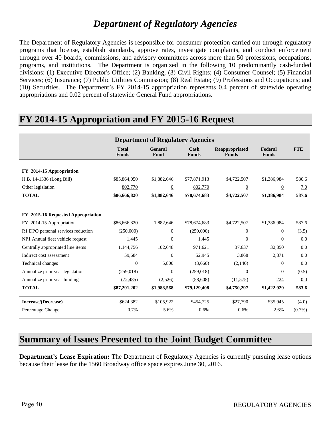### *Department of Regulatory Agencies*

The Department of Regulatory Agencies is responsible for consumer protection carried out through regulatory programs that license, establish standards, approve rates, investigate complaints, and conduct enforcement through over 40 boards, commissions, and advisory committees across more than 50 professions, occupations, programs, and institutions. The Department is organized in the following 10 predominantly cash-funded divisions: (1) Executive Director's Office; (2) Banking; (3) Civil Rights; (4) Consumer Counsel; (5) Financial Services; (6) Insurance; (7) Public Utilities Commission; (8) Real Estate; (9) Professions and Occupations; and (10) Securities. The Department's FY 2014-15 appropriation represents 0.4 percent of statewide operating appropriations and 0.02 percent of statewide General Fund appropriations.

### **FY 2014-15 Appropriation and FY 2015-16 Request**

|                                    | <b>Department of Regulatory Agencies</b> |                        |                      |                                |                         |            |  |
|------------------------------------|------------------------------------------|------------------------|----------------------|--------------------------------|-------------------------|------------|--|
|                                    | <b>Total</b><br><b>Funds</b>             | <b>General</b><br>Fund | Cash<br><b>Funds</b> | Reappropriated<br><b>Funds</b> | Federal<br><b>Funds</b> | <b>FTE</b> |  |
| FY 2014-15 Appropriation           |                                          |                        |                      |                                |                         |            |  |
| H.B. 14-1336 (Long Bill)           | \$85,864,050                             | \$1,882,646            | \$77,871,913         | \$4,722,507                    | \$1,386,984             | 580.6      |  |
| Other legislation                  | 802,770                                  | $\overline{0}$         | 802,770              | $\overline{0}$                 | $\overline{0}$          | 7.0        |  |
| <b>TOTAL</b>                       | \$86,666,820                             | \$1,882,646            | \$78,674,683         | \$4,722,507                    | \$1,386,984             | 587.6      |  |
|                                    |                                          |                        |                      |                                |                         |            |  |
| FY 2015-16 Requested Appropriation |                                          |                        |                      |                                |                         |            |  |
| 2014-15 Appropriation<br>FY.       | \$86,666,820                             | 1,882,646              | \$78,674,683         | \$4,722,507                    | \$1,386,984             | 587.6      |  |
| R1 DPO personal services reduction | (250,000)                                | $\Omega$               | (250,000)            | $\Omega$                       | $\Omega$                | (3.5)      |  |
| NP1 Annual fleet vehicle request   | 1,445                                    | $\Omega$               | 1,445                | $\overline{0}$                 | $\Omega$                | 0.0        |  |
| Centrally appropriated line items  | 1,144,756                                | 102,648                | 971,621              | 37,637                         | 32,850                  | 0.0        |  |
| Indirect cost assessment           | 59,684                                   | $\mathbf{0}$           | 52,945               | 3,868                          | 2,871                   | 0.0        |  |
| <b>Technical changes</b>           | $\Omega$                                 | 5,800                  | (3,660)              | (2,140)                        | $\Omega$                | 0.0        |  |
| Annualize prior year legislation   | (259, 018)                               | $\overline{0}$         | (259, 018)           | $\overline{0}$                 | $\Omega$                | (0.5)      |  |
| Annualize prior year funding       | (72, 485)                                | (2,526)                | (58,608)             | (11,575)                       | 224                     | 0.0        |  |
| <b>TOTAL</b>                       | \$87,291,202                             | \$1,988,568            | \$79,129,408         | \$4,750,297                    | \$1,422,929             | 583.6      |  |
| Increase/(Decrease)                | \$624,382                                | \$105,922              | \$454,725            | \$27,790                       | \$35,945                | (4.0)      |  |
| Percentage Change                  | 0.7%                                     | 5.6%                   | 0.6%                 | 0.6%                           | 2.6%                    | $(0.7\%)$  |  |

### **Summary of Issues Presented to the Joint Budget Committee**

**Department's Lease Expiration:** The Department of Regulatory Agencies is currently pursuing lease options because their lease for the 1560 Broadway office space expires June 30, 2016.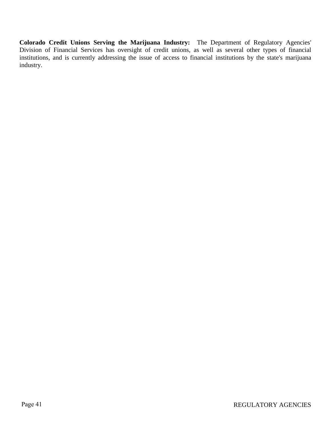**Colorado Credit Unions Serving the Marijuana Industry:** The Department of Regulatory Agencies' Division of Financial Services has oversight of credit unions, as well as several other types of financial institutions, and is currently addressing the issue of access to financial institutions by the state's marijuana industry.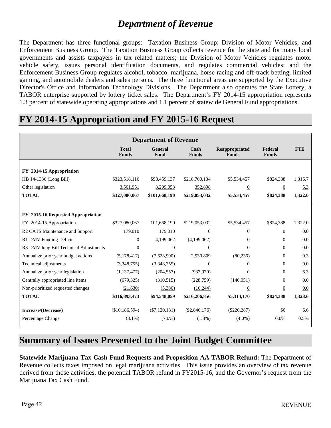## *Department of Revenue*

The Department has three functional groups: Taxation Business Group; Division of Motor Vehicles; and Enforcement Business Group. The Taxation Business Group collects revenue for the state and for many local governments and assists taxpayers in tax related matters; the Division of Motor Vehicles regulates motor vehicle safety, issues personal identification documents, and regulates commercial vehicles; and the Enforcement Business Group regulates alcohol, tobacco, marijuana, horse racing and off-track betting, limited gaming, and automobile dealers and sales persons. The three functional areas are supported by the Executive Director's Office and Information Technology Divisions. The Department also operates the State Lottery, a TABOR enterprise supported by lottery ticket sales. The Department's FY 2014-15 appropriation represents 1.3 percent of statewide operating appropriations and 1.1 percent of statewide General Fund appropriations.

### **FY 2014-15 Appropriation and FY 2015-16 Request**

| <b>Department of Revenue</b>           |                              |                 |                      |                                |                         |            |  |
|----------------------------------------|------------------------------|-----------------|----------------------|--------------------------------|-------------------------|------------|--|
|                                        | <b>Total</b><br><b>Funds</b> | General<br>Fund | Cash<br><b>Funds</b> | Reappropriated<br><b>Funds</b> | Federal<br><b>Funds</b> | <b>FTE</b> |  |
| FY 2014-15 Appropriation               |                              |                 |                      |                                |                         |            |  |
| HB 14-1336 (Long Bill)                 | \$323,518,116                | \$98,459,137    | \$218,700,134        | \$5,534,457                    | \$824,388               | 1,316.7    |  |
| Other legislation                      | 3,561,951                    | 3,209,053       | 352,898              | $\overline{0}$                 | $\overline{0}$          | 5.3        |  |
| <b>TOTAL</b>                           | \$327,080,067                | \$101,668,190   | \$219,053,032        | \$5,534,457                    | \$824,388               | 1,322.0    |  |
|                                        |                              |                 |                      |                                |                         |            |  |
| FY 2015-16 Requested Appropriation     |                              |                 |                      |                                |                         |            |  |
| FY 2014-15 Appropriation               | \$327,080,067                | 101,668,190     | \$219,053,032        | \$5,534,457                    | \$824,388               | 1,322.0    |  |
| R2 CATS Maintenance and Support        | 179,010                      | 179,010         | $\mathbf{0}$         | $\overline{0}$                 | $\Omega$                | 0.0        |  |
| R1 DMV Funding Deficit                 | $\overline{0}$               | 4,199,062       | (4,199,062)          | $\overline{0}$                 | $\Omega$                | 0.0        |  |
| R3 DMV long Bill Technical Adjustments | $\Omega$                     | $\Omega$        | $\Omega$             | $\Omega$                       | $\Omega$                | 0.0        |  |
| Annualize prior year budget actions    | (5,178,417)                  | (7,628,990)     | 2,530,809            | (80, 236)                      | $\Omega$                | 0.3        |  |
| Technical adjustments                  | (3,348,755)                  | (3,348,755)     | $\Omega$             | $\Omega$                       | $\Omega$                | 0.0        |  |
| Annualize prior year legislation       | (1,137,477)                  | (204, 557)      | (932, 920)           | $\Omega$                       | $\Omega$                | 6.3        |  |
| Centrally appropriated line items      | (679, 325)                   | (310,515)       | (228,759)            | (140,051)                      | $\Omega$                | 0.0        |  |
| Non-prioritized requested changes      | (21,630)                     | (5,386)         | (16, 244)            | $\overline{0}$                 | $\overline{0}$          | 0.0        |  |
| <b>TOTAL</b>                           | \$316,893,473                | \$94,548,059    | \$216,206,856        | \$5,314,170                    | \$824,388               | 1,328.6    |  |
| Increase/(Decrease)                    | (\$10,186,594)               | $(\$7,120,131)$ | $(\$2,846,176)$      | $(\$220, 287)$                 | \$0                     | 6.6        |  |
| Percentage Change                      | $(3.1\%)$                    | $(7.0\%)$       | $(1.3\%)$            | $(4.0\%)$                      | 0.0%                    | 0.5%       |  |

### **Summary of Issues Presented to the Joint Budget Committee**

**Statewide Marijuana Tax Cash Fund Requests and Proposition AA TABOR Refund:** The Department of Revenue collects taxes imposed on legal marijuana activities. This issue provides an overview of tax revenue derived from those activities, the potential TABOR refund in FY2015-16, and the Governor's request from the Marijuana Tax Cash Fund.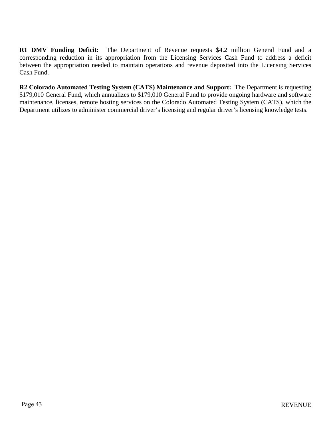**R1 DMV Funding Deficit:** The Department of Revenue requests \$4.2 million General Fund and a corresponding reduction in its appropriation from the Licensing Services Cash Fund to address a deficit between the appropriation needed to maintain operations and revenue deposited into the Licensing Services Cash Fund.

**R2 Colorado Automated Testing System (CATS) Maintenance and Support:** The Department is requesting \$179,010 General Fund, which annualizes to \$179,010 General Fund to provide ongoing hardware and software maintenance, licenses, remote hosting services on the Colorado Automated Testing System (CATS), which the Department utilizes to administer commercial driver's licensing and regular driver's licensing knowledge tests.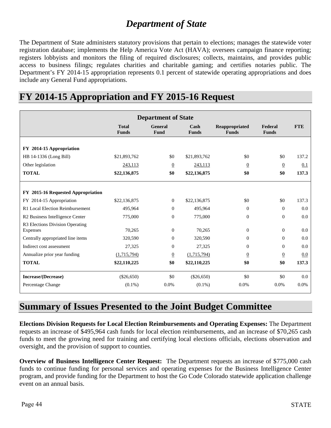# *Department of State*

The Department of State administers statutory provisions that pertain to elections; manages the statewide voter registration database; implements the Help America Vote Act (HAVA); oversees campaign finance reporting; registers lobbyists and monitors the filing of required disclosures; collects, maintains, and provides public access to business filings; regulates charities and charitable gaming; and certifies notaries public. The Department's FY 2014-15 appropriation represents 0.1 percent of statewide operating appropriations and does include any General Fund appropriations.

| <b>Department of State</b>                  |                              |                 |                      |                                |                         |            |
|---------------------------------------------|------------------------------|-----------------|----------------------|--------------------------------|-------------------------|------------|
|                                             | <b>Total</b><br><b>Funds</b> | General<br>Fund | Cash<br><b>Funds</b> | Reappropriated<br><b>Funds</b> | Federal<br><b>Funds</b> | <b>FTE</b> |
| FY 2014-15 Appropriation                    |                              |                 |                      |                                |                         |            |
| HB 14-1336 (Long Bill)                      | \$21,893,762                 | \$0             | \$21,893,762         | \$0                            | \$0                     | 137.2      |
| Other legislation                           | 243,113                      | $\overline{0}$  | 243,113              | $\overline{0}$                 | $\overline{0}$          | 0.1        |
| <b>TOTAL</b>                                | \$22,136,875                 | \$0             | \$22,136,875         | \$0                            | \$0                     | 137.3      |
| FY 2015-16 Requested Appropriation          |                              |                 |                      |                                |                         |            |
| FY 2014-15 Appropriation                    | \$22,136,875                 | $\overline{0}$  | \$22,136,875         | \$0                            | \$0                     | 137.3      |
| R1 Local Election Reimbursement             | 495,964                      | $\overline{0}$  | 495,964              | $\mathbf{0}$                   | $\Omega$                | 0.0        |
| R2 Business Intelligence Center             | 775,000                      | $\mathbf{0}$    | 775,000              | $\mathbf{0}$                   | $\mathbf{0}$            | 0.0        |
| R3 Elections Division Operating<br>Expenses | 70,265                       | $\mathbf{0}$    | 70,265               | $\theta$                       | $\theta$                | 0.0        |
| Centrally appropriated line items           | 320,590                      | $\Omega$        | 320,590              | $\mathbf{0}$                   | $\Omega$                | 0.0        |
| Indirect cost assessment                    | 27,325                       | $\mathbf{0}$    | 27,325               | $\mathbf{0}$                   | $\Omega$                | 0.0        |
| Annualize prior year funding                | (1,715,794)                  | $\overline{0}$  | (1,715,794)          | $\overline{0}$                 | $\overline{0}$          | 0.0        |
| <b>TOTAL</b>                                | \$22,110,225                 | \$0             | \$22,110,225         | \$0                            | \$0                     | 137.3      |
| Increase/(Decrease)                         | $(\$26,650)$                 | \$0             | $(\$26,650)$         | \$0                            | \$0                     | 0.0        |
| Percentage Change                           | $(0.1\%)$                    | 0.0%            | $(0.1\%)$            | 0.0%                           | 0.0%                    | 0.0%       |

# **FY 2014-15 Appropriation and FY 2015-16 Request**

### **Summary of Issues Presented to the Joint Budget Committee**

**Elections Division Requests for Local Election Reimbursements and Operating Expenses:** The Department requests an increase of \$495,964 cash funds for local election reimbursements, and an increase of \$70,265 cash funds to meet the growing need for training and certifying local elections officials, elections observation and oversight, and the provision of support to counties.

**Overview of Business Intelligence Center Request:** The Department requests an increase of \$775,000 cash funds to continue funding for personal services and operating expenses for the Business Intelligence Center program, and provide funding for the Department to host the Go Code Colorado statewide application challenge event on an annual basis.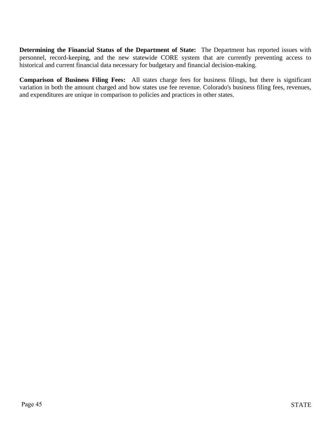**Determining the Financial Status of the Department of State:** The Department has reported issues with personnel, record-keeping, and the new statewide CORE system that are currently preventing access to historical and current financial data necessary for budgetary and financial decision-making.

**Comparison of Business Filing Fees:** All states charge fees for business filings, but there is significant variation in both the amount charged and how states use fee revenue. Colorado's business filing fees, revenues, and expenditures are unique in comparison to policies and practices in other states.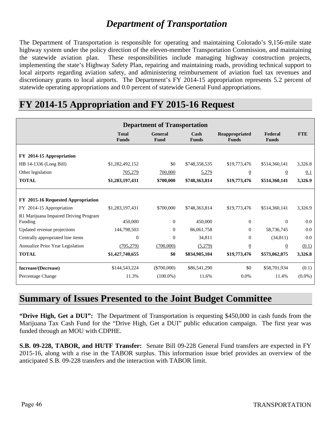# *Department of Transportation*

The Department of Transportation is responsible for operating and maintaining Colorado's 9,156-mile state highway system under the policy direction of the eleven-member Transportation Commission, and maintaining the statewide aviation plan. These responsibilities include managing highway construction projects, implementing the state's Highway Safety Plan, repairing and maintaining roads, providing technical support to local airports regarding aviation safety, and administering reimbursement of aviation fuel tax revenues and discretionary grants to local airports. The Department's FY 2014-15 appropriation represents 5.2 percent of statewide operating appropriations and 0.0 percent of statewide General Fund appropriations.

### **Department of Transportation Total Funds General Fund Cash Funds Reappropriated Funds Federal Funds FTE FY 2014-15 Appropriation** HB 14-1336 (Long Bill) \$1,282,492,152 \$0 \$748,358,535 \$19,773,476 \$514,360,141 3,326.8 Other legislation  $\frac{705,279}{205,279}$   $\frac{700,000}{5,279}$   $\frac{6}{20}$   $\frac{0.1}{20}$ **TOTAL \$1,283,197,431 \$700,000 \$748,363,814 \$19,773,476 \$514,360,141 3,326.9 FY 2015-16 Requested Appropriation** FY 2014-15 Appropriation \$1,283,197,431 \$700,000 \$748,363,814 \$19,773,476 \$514,360,141 3,326.9 R1 Marijuana Impaired Driving Program Funding 450,000 0 450,000 0 0 0.0 Updated revenue projections 144,798,503 0 86,061,758 0 58,736,745 0.0 Centrally appropriated line items 0 0 34,811 0 (34,811) 0.0 Annualize Prior Year Legislation (705,279) (700,000) (5,279) 0 0 (0.1) **TOTAL \$1,427,740,655 \$0 \$834,905,104 \$19,773,476 \$573,062,075 3,326.8 Increase/(Decrease)** \$144,543,224 (\$700,000) \$86,541,290 \$0 \$58,701,934 (0.1) Percentage Change 2013 11.3% (100.0%) 11.6% 0.0% 11.4% (0.0%)

# **FY 2014-15 Appropriation and FY 2015-16 Request**

### **Summary of Issues Presented to the Joint Budget Committee**

**"Drive High, Get a DUI":** The Department of Transportation is requesting \$450,000 in cash funds from the Marijuana Tax Cash Fund for the "Drive High, Get a DUI" public education campaign. The first year was funded through an MOU with CDPHE.

**S.B. 09-228, TABOR, and HUTF Transfer:** Senate Bill 09-228 General Fund transfers are expected in FY 2015-16, along with a rise in the TABOR surplus. This information issue brief provides an overview of the anticipated S.B. 09-228 transfers and the interaction with TABOR limit.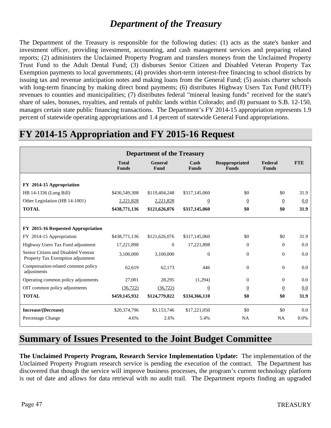### *Department of the Treasury*

The Department of the Treasury is responsible for the following duties: (1) acts as the state's banker and investment officer, providing investment, accounting, and cash management services and preparing related reports; (2) administers the Unclaimed Property Program and transfers moneys from the Unclaimed Property Trust Fund to the Adult Dental Fund; (3) disburses Senior Citizen and Disabled Veteran Property Tax Exemption payments to local governments; (4) provides short-term interest-free financing to school districts by issuing tax and revenue anticipation notes and making loans from the General Fund; (5) assists charter schools with long-term financing by making direct bond payments; (6) distributes Highway Users Tax Fund (HUTF) revenues to counties and municipalities; (7) distributes federal "mineral leasing funds" received for the state's share of sales, bonuses, royalties, and rentals of public lands within Colorado; and (8) pursuant to S.B. 12-150, manages certain state public financing transactions. The Department's FY 2014-15 appropriation represents 1.9 percent of statewide operating appropriations and 1.4 percent of statewide General Fund appropriations.

### **FY 2014-15 Appropriation and FY 2015-16 Request**

| <b>Department of the Treasury</b>                                        |                              |                 |                                       |                                |                         |            |
|--------------------------------------------------------------------------|------------------------------|-----------------|---------------------------------------|--------------------------------|-------------------------|------------|
|                                                                          | <b>Total</b><br><b>Funds</b> | General<br>Fund | $\operatorname{Cash}$<br><b>Funds</b> | Reappropriated<br><b>Funds</b> | Federal<br><b>Funds</b> | <b>FTE</b> |
| FY 2014-15 Appropriation                                                 |                              |                 |                                       |                                |                         |            |
| HB 14-1336 (Long Bill)                                                   | \$436,549,308                | \$119,404,248   | \$317,145,060                         | \$0                            | \$0                     | 31.9       |
| Other Legislation (HB 14-1001)                                           | 2,221,828                    | 2,221,828       | $\overline{0}$                        | $\overline{0}$                 | $\overline{0}$          | 0.0        |
| <b>TOTAL</b>                                                             | \$438,771,136                | \$121,626,076   | \$317,145,060                         | \$0                            | \$0                     | 31.9       |
|                                                                          |                              |                 |                                       |                                |                         |            |
| FY 2015-16 Requested Appropriation                                       |                              |                 |                                       |                                |                         |            |
| FY 2014-15 Appropriation                                                 | \$438,771,136                | \$121,626,076   | \$317,145,060                         | \$0                            | \$0                     | 31.9       |
| Highway Users Tax Fund adjustment                                        | 17,221,898                   | $\mathbf{0}$    | 17,221,898                            | $\mathbf{0}$                   | $\Omega$                | 0.0        |
| Senior Citizen and Disabled Veteran<br>Property Tax Exemption adjustment | 3,100,000                    | 3,100,000       | $\boldsymbol{0}$                      | $\boldsymbol{0}$               | $\mathbf{0}$            | 0.0        |
| Compensation-related common policy<br>adjustments                        | 62,619                       | 62,173          | 446                                   | $\boldsymbol{0}$               | $\Omega$                | 0.0        |
| Operating common policy adjustments                                      | 27,001                       | 28,295          | (1,294)                               | $\mathbf{0}$                   | $\Omega$                | 0.0        |
| OIT common policy adjustments                                            | (36, 722)                    | (36, 722)       | $\overline{0}$                        | $\overline{0}$                 | $\overline{0}$          | 0.0        |
| <b>TOTAL</b>                                                             | \$459,145,932                | \$124,779,822   | \$334,366,110                         | \$0                            | \$0                     | 31.9       |
| Increase/(Decrease)                                                      | \$20,374,796                 | \$3,153,746     | \$17,221,050                          | \$0                            | \$0                     | 0.0        |
| Percentage Change                                                        | 4.6%                         | 2.6%            | 5.4%                                  | <b>NA</b>                      | NA                      | 0.0%       |

### **Summary of Issues Presented to the Joint Budget Committee**

**The Unclaimed Property Program, Research Service Implementation Update:** The implementation of the Unclaimed Property Program research service is pending the execution of the contract. The Department has discovered that though the service will improve business processes, the program's current technology platform is out of date and allows for data retrieval with no audit trail. The Department reports finding an upgraded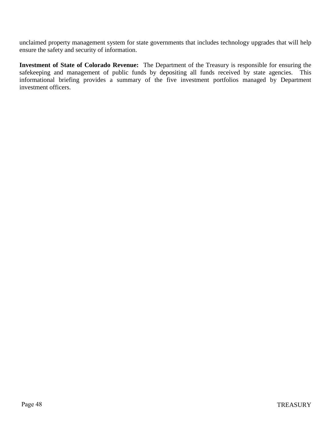unclaimed property management system for state governments that includes technology upgrades that will help ensure the safety and security of information.

**Investment of State of Colorado Revenue:** The Department of the Treasury is responsible for ensuring the safekeeping and management of public funds by depositing all funds received by state agencies. This informational briefing provides a summary of the five investment portfolios managed by Department investment officers.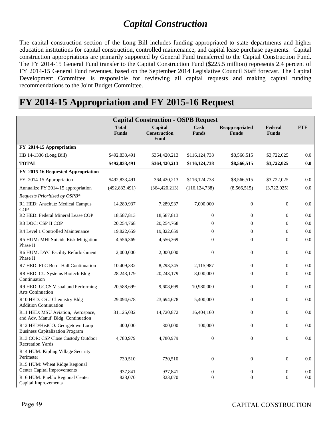# *Capital Construction*

The capital construction section of the Long Bill includes funding appropriated to state departments and higher education institutions for capital construction, controlled maintenance, and capital lease purchase payments. Capital construction appropriations are primarily supported by General Fund transferred to the Capital Construction Fund. The FY 2014-15 General Fund transfer to the Capital Construction Fund (\$225.5 million) represents 2.4 percent of FY 2014-15 General Fund revenues, based on the September 2014 Legislative Council Staff forecast. The Capital Development Committee is responsible for reviewing all capital requests and making capital funding recommendations to the Joint Budget Committee.

### **FY 2014-15 Appropriation and FY 2015-16 Request**

| <b>Capital Construction - OSPB Request</b>                                |                              |                                        |                      |                                |                         |            |  |
|---------------------------------------------------------------------------|------------------------------|----------------------------------------|----------------------|--------------------------------|-------------------------|------------|--|
|                                                                           | <b>Total</b><br><b>Funds</b> | Capital<br>Construction<br><b>Fund</b> | Cash<br><b>Funds</b> | Reappropriated<br><b>Funds</b> | Federal<br><b>Funds</b> | <b>FTE</b> |  |
| FY 2014-15 Appropriation                                                  |                              |                                        |                      |                                |                         |            |  |
| HB 14-1336 (Long Bill)                                                    | \$492,833,491                | \$364,420,213                          | \$116,124,738        | \$8,566,515                    | \$3,722,025             | 0.0        |  |
| <b>TOTAL</b>                                                              | \$492,833,491                | \$364,420,213                          | \$116,124,738        | \$8,566,515                    | \$3,722,025             | 0.0        |  |
| FY 2015-16 Requested Appropriation                                        |                              |                                        |                      |                                |                         |            |  |
| FY 2014-15 Appropriation                                                  | \$492,833,491                | 364,420,213                            | \$116,124,738        | \$8,566,515                    | \$3,722,025             | 0.0        |  |
| Annualize FY 2014-15 appropriation                                        | (492, 833, 491)              | (364, 420, 213)                        | (116, 124, 738)      | (8,566,515)                    | (3,722,025)             | 0.0        |  |
| Requests Prioritized by OSPB*                                             |                              |                                        |                      |                                |                         |            |  |
| R1 HED: Anschutz Medical Campus<br><b>COP</b>                             | 14,289,937                   | 7,289,937                              | 7,000,000            | $\theta$                       | $\theta$                | 0.0        |  |
| R2 HED: Federal Mineral Lease COP                                         | 18,587,813                   | 18,587,813                             | $\boldsymbol{0}$     | $\mathbf{0}$                   | $\overline{0}$          | 0.0        |  |
| R3 DOC: CSP II COP                                                        | 20,254,768                   | 20,254,768                             | $\mathbf{0}$         | $\Omega$                       | $\theta$                | 0.0        |  |
| R4 Level 1 Controlled Maintenance                                         | 19,822,659                   | 19,822,659                             | $\mathbf{0}$         | $\mathbf{0}$                   | $\mathbf{0}$            | 0.0        |  |
| R5 HUM: MHI Suicide Risk Mitigation<br>Phase II                           | 4,556,369                    | 4,556,369                              | $\Omega$             | $\Omega$                       | $\theta$                | 0.0        |  |
| R6 HUM: DYC Facility Refurbishment<br>Phase II                            | 2,000,000                    | 2,000,000                              | $\overline{0}$       | $\theta$                       | $\theta$                | 0.0        |  |
| R7 HED: FLC Bernt Hall Continuation                                       | 10,409,332                   | 8,293,345                              | 2,115,987            | $\mathbf{0}$                   | $\boldsymbol{0}$        | 0.0        |  |
| R8 HED: CU Systems Biotech Bldg<br>Continuation                           | 28, 243, 179                 | 20,243,179                             | 8,000,000            | $\theta$                       | $\theta$                | 0.0        |  |
| R9 HED: UCCS Visual and Performing<br><b>Arts Coninuation</b>             | 20,588,699                   | 9,608,699                              | 10,980,000           | $\Omega$                       | $\theta$                | 0.0        |  |
| R <sub>10</sub> HED: CSU Chemistry Bldg<br><b>Addition Continuation</b>   | 29,094,678                   | 23,694,678                             | 5,400,000            | $\boldsymbol{0}$               | $\boldsymbol{0}$        | 0.0        |  |
| R11 HED: MSU Aviation, Aerospace,<br>and Adv. Manuf. Bldg. Continuation   | 31,125,032                   | 14,720,872                             | 16,404,160           | $\mathbf{0}$                   | $\mathbf{0}$            | 0.0        |  |
| R12 HED/HistCO: Georgetown Loop<br><b>Business Capitalization Program</b> | 400,000                      | 300,000                                | 100,000              | $\theta$                       | $\theta$                | 0.0        |  |
| R13 COR: CSP Close Custody Outdoor<br><b>Recreation Yards</b>             | 4,780,979                    | 4,780,979                              | $\overline{0}$       | $\theta$                       | $\theta$                | 0.0        |  |
| R14 HUM: Kipling Village Security<br>Perimeter                            | 730,510                      | 730,510                                | $\boldsymbol{0}$     | $\mathbf{0}$                   | $\boldsymbol{0}$        | 0.0        |  |
| R15 HUM: Wheat Ridge Regional                                             |                              |                                        |                      |                                |                         |            |  |
| <b>Center Capital Improvements</b>                                        | 937,841                      | 937,841                                | $\boldsymbol{0}$     | $\boldsymbol{0}$               | $\boldsymbol{0}$        | $0.0\,$    |  |
| R16 HUM: Pueblo Regional Center<br>Capital Improvements                   | 823,070                      | 823,070                                | $\theta$             | $\Omega$                       | $\theta$                | 0.0        |  |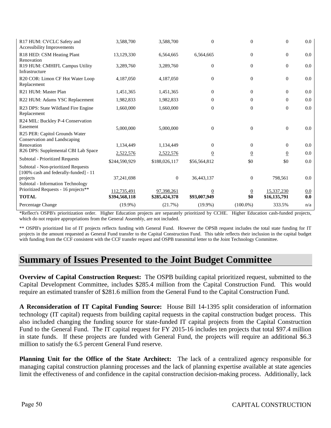| R17 HUM: CVCLC Safety and<br><b>Accessibility Improvements</b>               | 3,588,700                    | 3,588,700                   | $\Omega$                       | $\Omega$              | $\theta$                   | 0.0        |
|------------------------------------------------------------------------------|------------------------------|-----------------------------|--------------------------------|-----------------------|----------------------------|------------|
| R18 HED: CSM Heating Plant<br>Renovation                                     | 13,129,330                   | 6,564,665                   | 6,564,665                      | $\theta$              | $\overline{0}$             | 0.0        |
| R19 HUM: CMHIFL Campus Utility<br>Infrastructure                             | 3,289,760                    | 3,289,760                   | $\mathbf{0}$                   | $\mathbf{0}$          | $\overline{0}$             | 0.0        |
| R <sub>20</sub> COR: Limon CF Hot Water Loop<br>Replacement                  | 4,187,050                    | 4,187,050                   | $\overline{0}$                 | $\Omega$              | $\theta$                   | 0.0        |
| R <sub>21</sub> HUM: Master Plan                                             | 1,451,365                    | 1,451,365                   | $\overline{0}$                 | $\overline{0}$        | $\theta$                   | 0.0        |
| R22 HUM: Adams YSC Replacement                                               | 1,982,833                    | 1,982,833                   | $\Omega$                       | $\Omega$              | $\Omega$                   | 0.0        |
| R23 DPS: State Wildland Fire Engine<br>Replacement                           | 1,660,000                    | 1,660,000                   | $\Omega$                       | $\Omega$              | $\Omega$                   | 0.0        |
| R <sub>24</sub> MIL: Buckley P-4 Conservation<br>Easement                    | 5,000,000                    | 5,000,000                   | $\Omega$                       | $\Omega$              | $\theta$                   | 0.0        |
| R25 PER: Capitol Grounds Water<br>Conservation and Landscaping               |                              |                             |                                |                       |                            |            |
| Renovation                                                                   | 1,134,449                    | 1,134,449                   | $\Omega$                       | $\Omega$              | $\theta$                   | 0.0        |
| R26 DPS: Supplemental CBI Lab Space                                          | 2,522,576                    | 2,522,576                   | $\overline{0}$                 | $\overline{0}$        | $\overline{0}$             | 0.0        |
| Subtotal - Prioritized Requests                                              | \$244,590,929                | \$188,026,117               | \$56,564,812                   | \$0                   | \$0                        | 0.0        |
| Subtotal - Non-prioritized Requests<br>[100% cash and federally-funded] - 11 |                              |                             |                                |                       |                            |            |
| projects                                                                     | 37,241,698                   | $\overline{0}$              | 36,443,137                     | $\overline{0}$        | 798,561                    | 0.0        |
| Subtotal - Information Technology<br>Prioritized Requests - 16 projects**    |                              |                             |                                |                       |                            |            |
| <b>TOTAL</b>                                                                 | 112,735,491<br>\$394,568,118 | 97,398,261<br>\$285,424,378 | $\overline{0}$<br>\$93,007,949 | $\overline{0}$<br>\$0 | 15,337,230<br>\$16,135,791 | 0.0<br>0.0 |
| Percentage Change                                                            | $(19.9\%)$                   | (21.7%)                     | $(19.9\%)$                     | $(100.0\%)$           | 333.5%                     | n/a        |

\*Reflect's OSPB's prioritization order. Higher Education projects are separately prioritized by CCHE. Higher Education cash-funded projects, which do not require appropriations from the General Assembly, are not included.

\*\* OSPB's prioritized list of IT projects reflects funding with General Fund. However the OPSB request includes the total state funding for IT projects in the amount requested as General Fund transfer to the Capital Construction Fund. This table reflects their inclusion in the capital budget with funding from the CCF consistent with the CCF transfer request and OSPB transmittal letter to the Joint Technology Committee.

### **Summary of Issues Presented to the Joint Budget Committee**

**Overview of Capital Construction Request:** The OSPB building capital prioritized request, submitted to the Capital Development Committee, includes \$285.4 million from the Capital Construction Fund. This would require an estimated transfer of \$281.6 million from the General Fund to the Capital Construction Fund.

**A Reconsideration of IT Capital Funding Source:** House Bill 14-1395 split consideration of information technology (IT capital) requests from building capital requests in the capital construction budget process. This also included changing the funding source for state-funded IT capital projects from the Capital Construction Fund to the General Fund. The IT capital request for FY 2015-16 includes ten projects that total \$97.4 million in state funds. If these projects are funded with General Fund, the projects will require an additional \$6.3 million to satisfy the 6.5 percent General Fund reserve.

**Planning Unit for the Office of the State Architect:** The lack of a centralized agency responsible for managing capital construction planning processes and the lack of planning expertise available at state agencies limit the effectiveness of and confidence in the capital construction decision-making process. Additionally, lack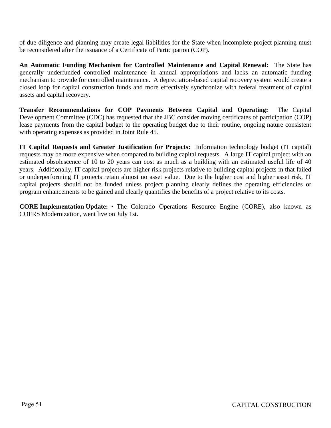of due diligence and planning may create legal liabilities for the State when incomplete project planning must be reconsidered after the issuance of a Certificate of Participation (COP).

**An Automatic Funding Mechanism for Controlled Maintenance and Capital Renewal:** The State has generally underfunded controlled maintenance in annual appropriations and lacks an automatic funding mechanism to provide for controlled maintenance. A depreciation-based capital recovery system would create a closed loop for capital construction funds and more effectively synchronize with federal treatment of capital assets and capital recovery.

**Transfer Recommendations for COP Payments Between Capital and Operating:** The Capital Development Committee (CDC) has requested that the JBC consider moving certificates of participation (COP) lease payments from the capital budget to the operating budget due to their routine, ongoing nature consistent with operating expenses as provided in Joint Rule 45.

**IT Capital Requests and Greater Justification for Projects:** Information technology budget (IT capital) requests may be more expensive when compared to building capital requests. A large IT capital project with an estimated obsolescence of 10 to 20 years can cost as much as a building with an estimated useful life of 40 years. Additionally, IT capital projects are higher risk projects relative to building capital projects in that failed or underperforming IT projects retain almost no asset value. Due to the higher cost and higher asset risk, IT capital projects should not be funded unless project planning clearly defines the operating efficiencies or program enhancements to be gained and clearly quantifies the benefits of a project relative to its costs.

**CORE Implementation Update:** • The Colorado Operations Resource Engine (CORE), also known as COFRS Modernization, went live on July 1st.